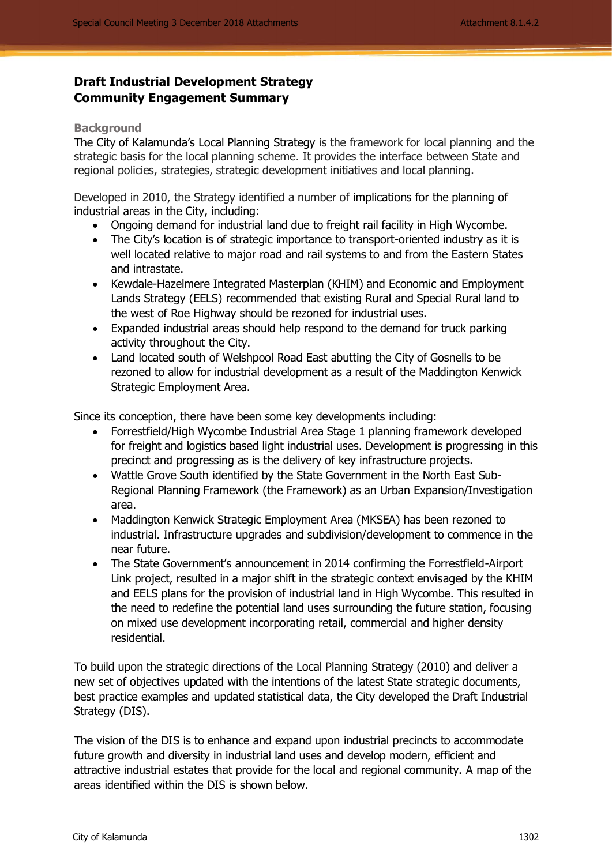# **Draft Industrial Development Strategy Community Engagement Summary**

#### **Background**

The City of Kalamunda's Local Planning Strategy is the framework for local planning and the strategic basis for the local planning scheme. It provides the interface between State and regional policies, strategies, strategic development initiatives and local planning.

Developed in 2010, the Strategy identified a number of implications for the planning of industrial areas in the City, including:

- Ongoing demand for industrial land due to freight rail facility in High Wycombe.
- The City's location is of strategic importance to transport-oriented industry as it is well located relative to major road and rail systems to and from the Eastern States and intrastate.
- Kewdale-Hazelmere Integrated Masterplan (KHIM) and Economic and Employment Lands Strategy (EELS) recommended that existing Rural and Special Rural land to the west of Roe Highway should be rezoned for industrial uses.
- Expanded industrial areas should help respond to the demand for truck parking activity throughout the City.
- Land located south of Welshpool Road East abutting the City of Gosnells to be rezoned to allow for industrial development as a result of the Maddington Kenwick Strategic Employment Area.

Since its conception, there have been some key developments including:

- Forrestfield/High Wycombe Industrial Area Stage 1 planning framework developed for freight and logistics based light industrial uses. Development is progressing in this precinct and progressing as is the delivery of key infrastructure projects.
- Wattle Grove South identified by the State Government in the North East Sub-Regional Planning Framework (the Framework) as an Urban Expansion/Investigation area.
- Maddington Kenwick Strategic Employment Area (MKSEA) has been rezoned to industrial. Infrastructure upgrades and subdivision/development to commence in the near future.
- The State Government's announcement in 2014 confirming the Forrestfield-Airport Link project, resulted in a major shift in the strategic context envisaged by the KHIM and EELS plans for the provision of industrial land in High Wycombe. This resulted in the need to redefine the potential land uses surrounding the future station, focusing on mixed use development incorporating retail, commercial and higher density residential.

To build upon the strategic directions of the Local Planning Strategy (2010) and deliver a new set of objectives updated with the intentions of the latest State strategic documents, best practice examples and updated statistical data, the City developed the Draft Industrial Strategy (DIS).

The vision of the DIS is to enhance and expand upon industrial precincts to accommodate future growth and diversity in industrial land uses and develop modern, efficient and attractive industrial estates that provide for the local and regional community. A map of the areas identified within the DIS is shown below.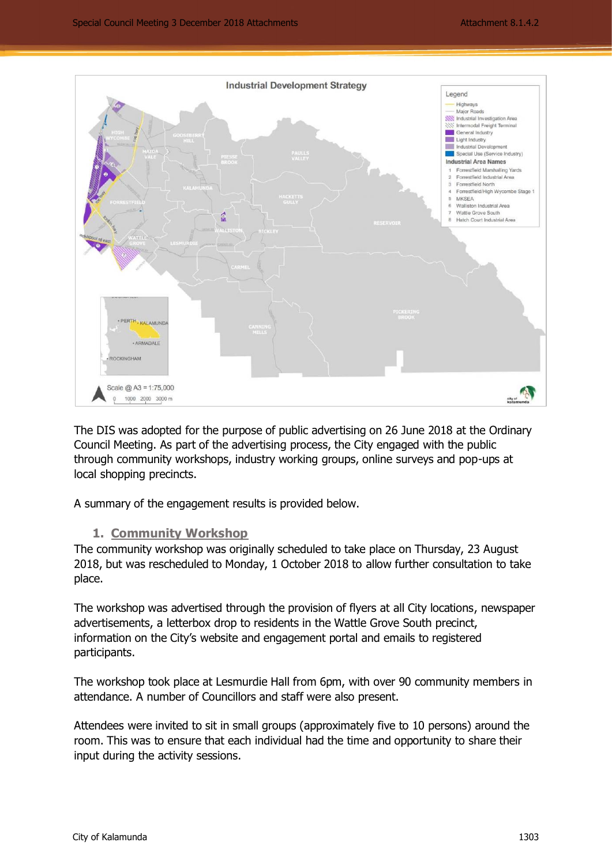

The DIS was adopted for the purpose of public advertising on 26 June 2018 at the Ordinary Council Meeting. As part of the advertising process, the City engaged with the public through community workshops, industry working groups, online surveys and pop-ups at local shopping precincts.

A summary of the engagement results is provided below.

## **1. Community Workshop**

The community workshop was originally scheduled to take place on Thursday, 23 August 2018, but was rescheduled to Monday, 1 October 2018 to allow further consultation to take place.

The workshop was advertised through the provision of flyers at all City locations, newspaper advertisements, a letterbox drop to residents in the Wattle Grove South precinct, information on the City's website and engagement portal and emails to registered participants.

The workshop took place at Lesmurdie Hall from 6pm, with over 90 community members in attendance. A number of Councillors and staff were also present.

Attendees were invited to sit in small groups (approximately five to 10 persons) around the room. This was to ensure that each individual had the time and opportunity to share their input during the activity sessions.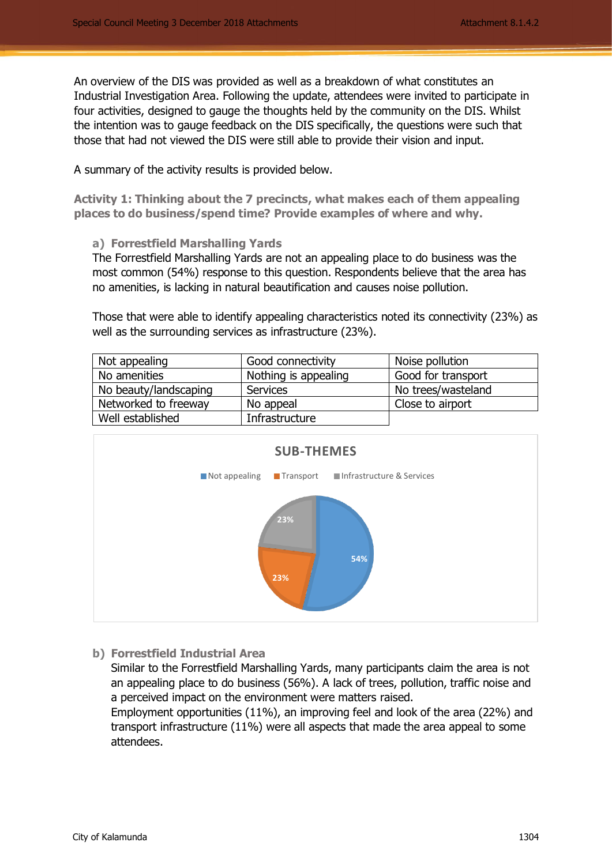An overview of the DIS was provided as well as a breakdown of what constitutes an Industrial Investigation Area. Following the update, attendees were invited to participate in four activities, designed to gauge the thoughts held by the community on the DIS. Whilst the intention was to gauge feedback on the DIS specifically, the questions were such that those that had not viewed the DIS were still able to provide their vision and input.

A summary of the activity results is provided below.

**Activity 1: Thinking about the 7 precincts, what makes each of them appealing places to do business/spend time? Provide examples of where and why.**

**a) Forrestfield Marshalling Yards**

The Forrestfield Marshalling Yards are not an appealing place to do business was the most common (54%) response to this question. Respondents believe that the area has no amenities, is lacking in natural beautification and causes noise pollution.

Those that were able to identify appealing characteristics noted its connectivity (23%) as well as the surrounding services as infrastructure (23%).

| Not appealing         | Good connectivity    | Noise pollution    |
|-----------------------|----------------------|--------------------|
| No amenities          | Nothing is appealing | Good for transport |
| No beauty/landscaping | Services             | No trees/wasteland |
| Networked to freeway  | No appeal            | Close to airport   |
| Well established      | Infrastructure       |                    |



**b) Forrestfield Industrial Area**

Similar to the Forrestfield Marshalling Yards, many participants claim the area is not an appealing place to do business (56%). A lack of trees, pollution, traffic noise and a perceived impact on the environment were matters raised.

Employment opportunities (11%), an improving feel and look of the area (22%) and transport infrastructure (11%) were all aspects that made the area appeal to some attendees.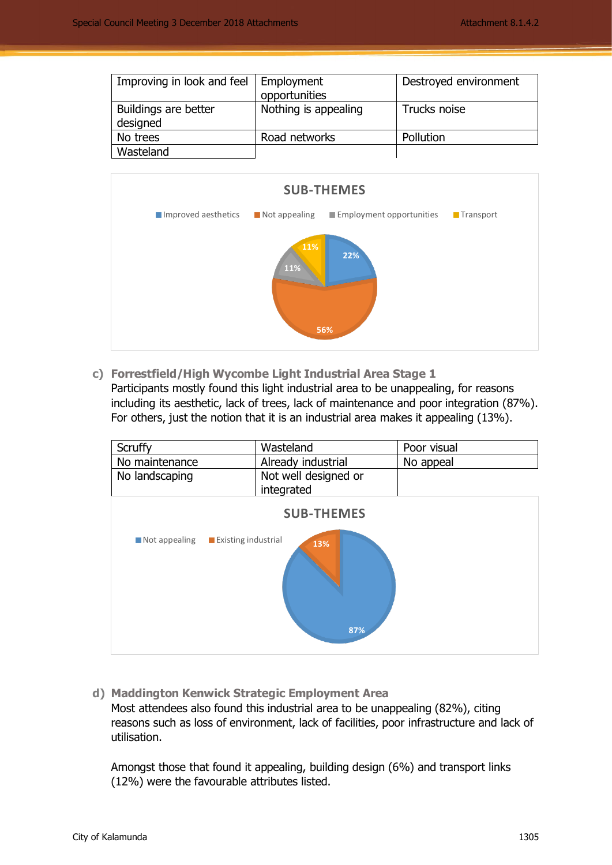| Improving in look and feel       | Employment<br>opportunities | Destroyed environment |
|----------------------------------|-----------------------------|-----------------------|
| Buildings are better<br>designed | Nothing is appealing        | Trucks noise          |
| No trees                         | Road networks               | Pollution             |
| Wasteland                        |                             |                       |



**c) Forrestfield/High Wycombe Light Industrial Area Stage 1** Participants mostly found this light industrial area to be unappealing, for reasons including its aesthetic, lack of trees, lack of maintenance and poor integration (87%). For others, just the notion that it is an industrial area makes it appealing (13%).

| Scruffy<br>No maintenance<br>No landscaping | Wasteland<br>Already industrial<br>Not well designed or<br>integrated | Poor visual<br>No appeal |
|---------------------------------------------|-----------------------------------------------------------------------|--------------------------|
| Not appealing<br>Existing industrial        | <b>SUB-THEMES</b><br>13%<br>87%                                       |                          |

**d) Maddington Kenwick Strategic Employment Area**

Most attendees also found this industrial area to be unappealing (82%), citing reasons such as loss of environment, lack of facilities, poor infrastructure and lack of utilisation.

Amongst those that found it appealing, building design (6%) and transport links (12%) were the favourable attributes listed.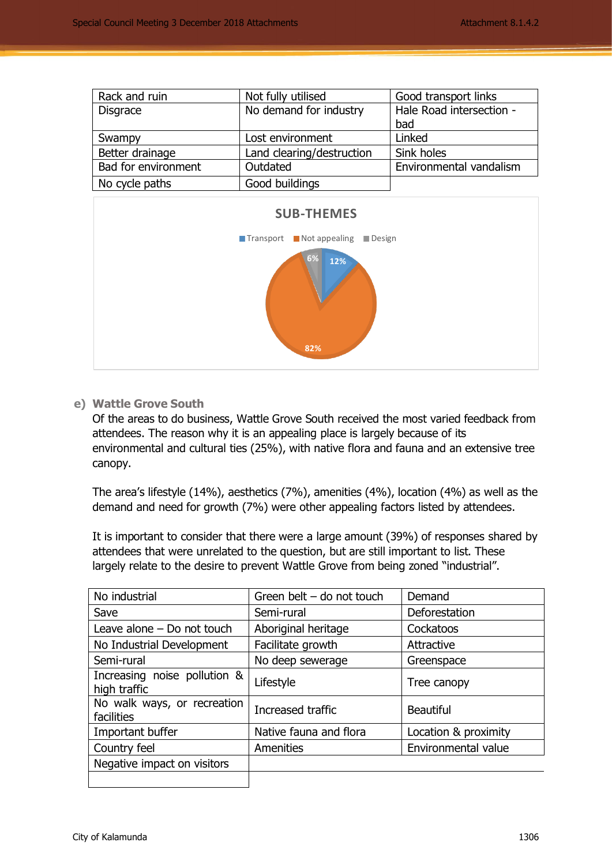| Rack and ruin       | Not fully utilised        | Good transport links     |
|---------------------|---------------------------|--------------------------|
| <b>Disgrace</b>     | No demand for industry    | Hale Road intersection - |
|                     |                           | bad                      |
| Swampy              | Lost environment          | Linked                   |
| Better drainage     | Land clearing/destruction | Sink holes               |
| Bad for environment | Outdated                  | Environmental vandalism  |
| No cycle paths      | Good buildings            |                          |
|                     |                           |                          |



## **e) Wattle Grove South**

Of the areas to do business, Wattle Grove South received the most varied feedback from attendees. The reason why it is an appealing place is largely because of its environmental and cultural ties (25%), with native flora and fauna and an extensive tree canopy.

The area's lifestyle (14%), aesthetics (7%), amenities (4%), location (4%) as well as the demand and need for growth (7%) were other appealing factors listed by attendees.

It is important to consider that there were a large amount (39%) of responses shared by attendees that were unrelated to the question, but are still important to list. These largely relate to the desire to prevent Wattle Grove from being zoned "industrial".

| No industrial                                | Green belt $-$ do not touch | Demand               |
|----------------------------------------------|-----------------------------|----------------------|
| Save                                         | Semi-rural                  | Deforestation        |
| Leave alone $-$ Do not touch                 | Aboriginal heritage         | Cockatoos            |
| No Industrial Development                    | Facilitate growth           | Attractive           |
| Semi-rural                                   | No deep sewerage            | Greenspace           |
| Increasing noise pollution &<br>high traffic | Lifestyle                   | Tree canopy          |
| No walk ways, or recreation<br>facilities    | Increased traffic           | <b>Beautiful</b>     |
| Important buffer                             | Native fauna and flora      | Location & proximity |
| Country feel                                 | Amenities                   | Environmental value  |
| Negative impact on visitors                  |                             |                      |
|                                              |                             |                      |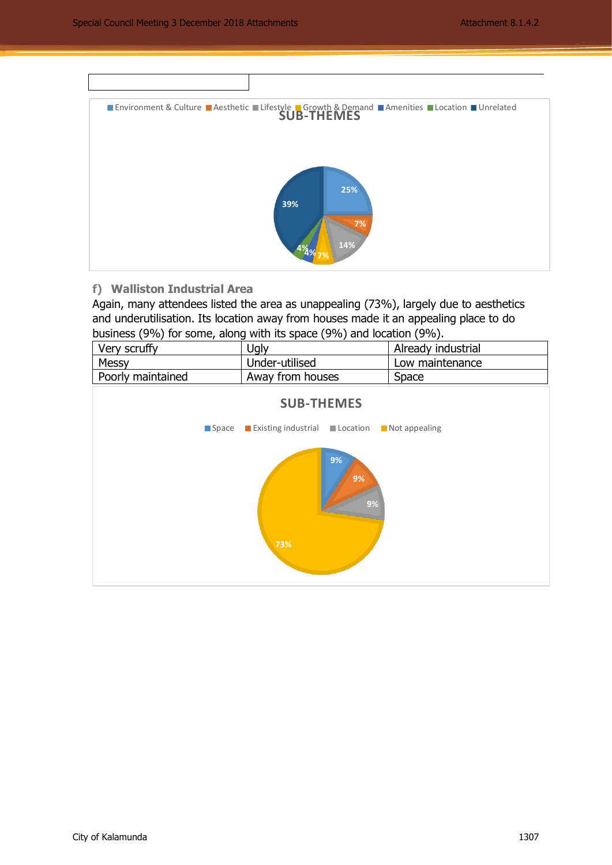

## **f) Walliston Industrial Area**

Again, many attendees listed the area as unappealing (73%), largely due to aesthetics and underutilisation. Its location away from houses made it an appealing place to do business (9%) for some, along with its space (9%) and location (9%).

| Very scruffy      | <b>Jgly</b>      | Already industrial |
|-------------------|------------------|--------------------|
| Messy             | Under-utilised   | Low maintenance    |
| Poorly maintained | Away from houses | Space              |

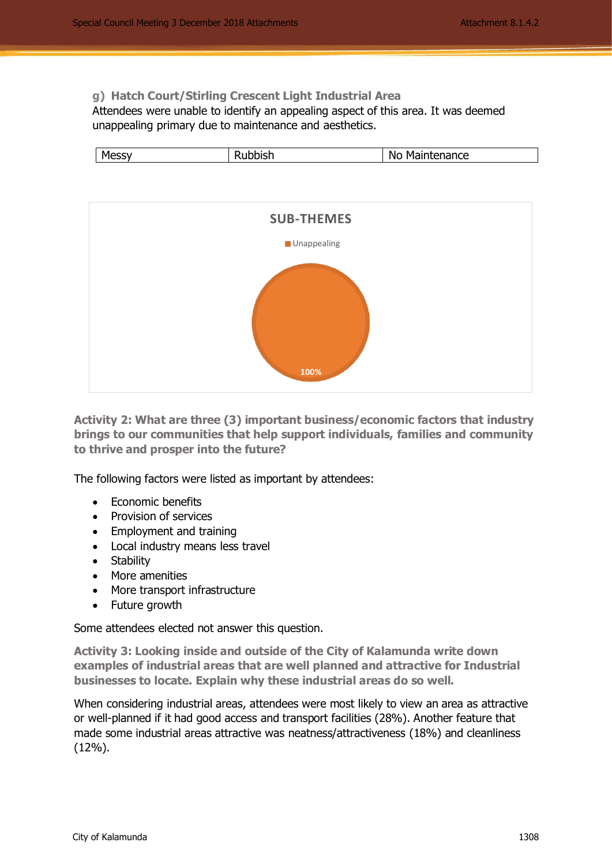## **g) Hatch Court/Stirling Crescent Light Industrial Area**

Attendees were unable to identify an appealing aspect of this area. It was deemed unappealing primary due to maintenance and aesthetics.





**Activity 2: What are three (3) important business/economic factors that industry brings to our communities that help support individuals, families and community to thrive and prosper into the future?**

The following factors were listed as important by attendees:

- Economic benefits
- Provision of services
- Employment and training
- Local industry means less travel
- Stability
- More amenities
- More transport infrastructure
- Future growth

Some attendees elected not answer this question.

**Activity 3: Looking inside and outside of the City of Kalamunda write down examples of industrial areas that are well planned and attractive for Industrial businesses to locate. Explain why these industrial areas do so well.** 

When considering industrial areas, attendees were most likely to view an area as attractive or well-planned if it had good access and transport facilities (28%). Another feature that made some industrial areas attractive was neatness/attractiveness (18%) and cleanliness (12%).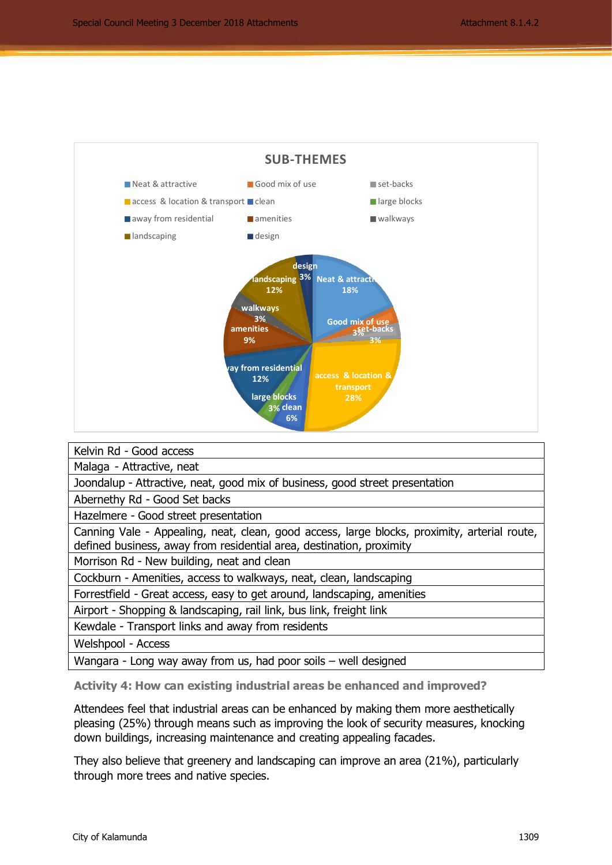

| Kelvin Rd - Good access                                                                                                                                                                                                                                                                                                                                                                                                                             |
|-----------------------------------------------------------------------------------------------------------------------------------------------------------------------------------------------------------------------------------------------------------------------------------------------------------------------------------------------------------------------------------------------------------------------------------------------------|
| Malaga - Attractive, neat                                                                                                                                                                                                                                                                                                                                                                                                                           |
| Joondalup - Attractive, neat, good mix of business, good street presentation                                                                                                                                                                                                                                                                                                                                                                        |
| Abernethy Rd - Good Set backs                                                                                                                                                                                                                                                                                                                                                                                                                       |
| Hazelmere - Good street presentation                                                                                                                                                                                                                                                                                                                                                                                                                |
| Canning Vale - Appealing, neat, clean, good access, large blocks, proximity, arterial route,<br>defined business, away from residential area, destination, proximity                                                                                                                                                                                                                                                                                |
| Morrison Rd - New building, neat and clean                                                                                                                                                                                                                                                                                                                                                                                                          |
| Cockburn - Amenities, access to walkways, neat, clean, landscaping                                                                                                                                                                                                                                                                                                                                                                                  |
| Forrestfield - Great access, easy to get around, landscaping, amenities                                                                                                                                                                                                                                                                                                                                                                             |
| Airport - Shopping & landscaping, rail link, bus link, freight link                                                                                                                                                                                                                                                                                                                                                                                 |
| Kewdale - Transport links and away from residents                                                                                                                                                                                                                                                                                                                                                                                                   |
| Welshpool - Access                                                                                                                                                                                                                                                                                                                                                                                                                                  |
| $\mathbf{H}$ . The set of the set of $\mathbf{H}$<br>$\cdots$<br>$\epsilon$ and $\epsilon$ and $\epsilon$ and $\epsilon$ and $\epsilon$ and $\epsilon$ and $\epsilon$ and $\epsilon$ and $\epsilon$ and $\epsilon$ and $\epsilon$ and $\epsilon$ and $\epsilon$ and $\epsilon$ and $\epsilon$ and $\epsilon$ and $\epsilon$ and $\epsilon$ and $\epsilon$ and $\epsilon$ and $\epsilon$ and $\epsilon$ and $\epsilon$ and $\epsilon$ and $\epsilon$ |

Wangara - Long way away from us, had poor soils – well designed

**Activity 4: How can existing industrial areas be enhanced and improved?**

Attendees feel that industrial areas can be enhanced by making them more aesthetically pleasing (25%) through means such as improving the look of security measures, knocking down buildings, increasing maintenance and creating appealing facades.

They also believe that greenery and landscaping can improve an area (21%), particularly through more trees and native species.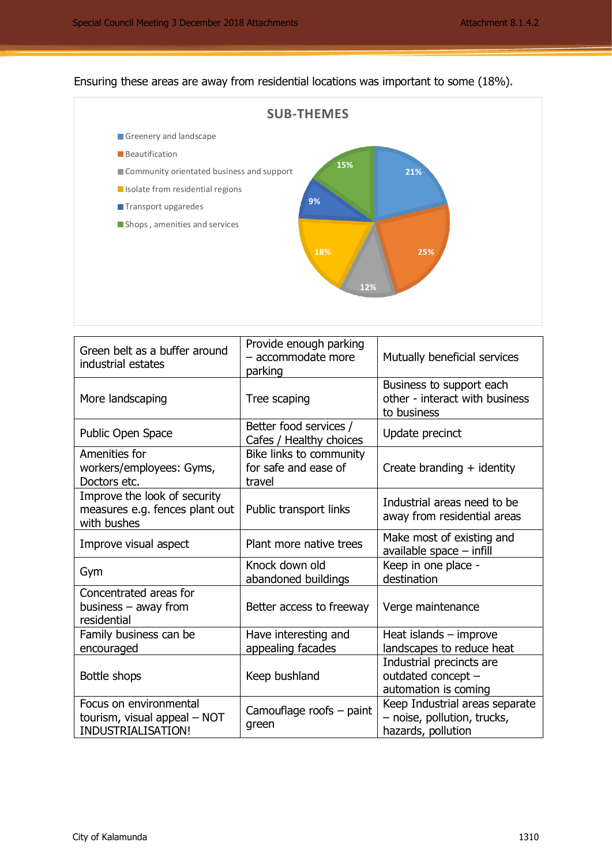# Ensuring these areas are away from residential locations was important to some (18%).



| Green belt as a buffer around<br>industrial estates                           | Provide enough parking<br>- accommodate more<br>parking   | Mutually beneficial services                                                        |
|-------------------------------------------------------------------------------|-----------------------------------------------------------|-------------------------------------------------------------------------------------|
| More landscaping                                                              | Tree scaping                                              | Business to support each<br>other - interact with business<br>to business           |
| Public Open Space                                                             | Better food services /<br>Cafes / Healthy choices         | Update precinct                                                                     |
| Amenities for<br>workers/employees: Gyms,<br>Doctors etc.                     | Bike links to community<br>for safe and ease of<br>travel | Create branding $+$ identity                                                        |
| Improve the look of security<br>measures e.g. fences plant out<br>with bushes | Public transport links                                    | Industrial areas need to be<br>away from residential areas                          |
| Improve visual aspect                                                         | Plant more native trees                                   | Make most of existing and<br>available space $-$ infill                             |
| Gym                                                                           | Knock down old<br>abandoned buildings                     | Keep in one place -<br>destination                                                  |
| Concentrated areas for<br>business $-$ away from<br>residential               | Better access to freeway                                  | Verge maintenance                                                                   |
| Family business can be<br>encouraged                                          | Have interesting and<br>appealing facades                 | Heat islands $-$ improve<br>landscapes to reduce heat                               |
| Bottle shops                                                                  | Keep bushland                                             | Industrial precincts are<br>outdated concept -<br>automation is coming              |
| Focus on environmental<br>tourism, visual appeal - NOT<br>INDUSTRIALISATION!  | Camouflage roofs - paint<br>green                         | Keep Industrial areas separate<br>- noise, pollution, trucks,<br>hazards, pollution |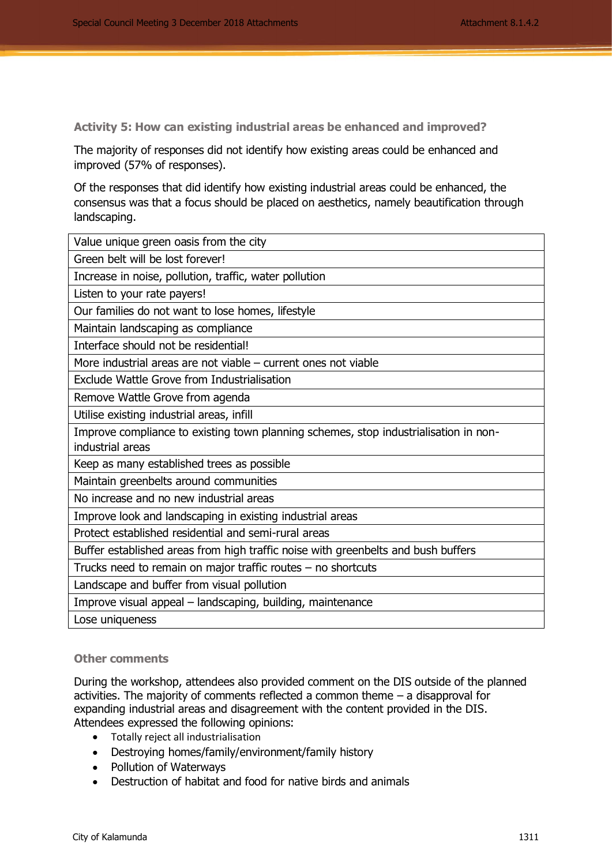**Activity 5: How can existing industrial areas be enhanced and improved?**

The majority of responses did not identify how existing areas could be enhanced and improved (57% of responses).

Of the responses that did identify how existing industrial areas could be enhanced, the consensus was that a focus should be placed on aesthetics, namely beautification through landscaping.

| Value unique green oasis from the city                                                                   |
|----------------------------------------------------------------------------------------------------------|
| Green belt will be lost forever!                                                                         |
| Increase in noise, pollution, traffic, water pollution                                                   |
| Listen to your rate payers!                                                                              |
| Our families do not want to lose homes, lifestyle                                                        |
| Maintain landscaping as compliance                                                                       |
| Interface should not be residential!                                                                     |
| More industrial areas are not viable $-$ current ones not viable                                         |
| Exclude Wattle Grove from Industrialisation                                                              |
| Remove Wattle Grove from agenda                                                                          |
| Utilise existing industrial areas, infill                                                                |
| Improve compliance to existing town planning schemes, stop industrialisation in non-<br>industrial areas |
| Keep as many established trees as possible                                                               |
| Maintain greenbelts around communities                                                                   |
| No increase and no new industrial areas                                                                  |
| Improve look and landscaping in existing industrial areas                                                |
| Protect established residential and semi-rural areas                                                     |
| Buffer established areas from high traffic noise with greenbelts and bush buffers                        |
| Trucks need to remain on major traffic routes - no shortcuts                                             |
| Landscape and buffer from visual pollution                                                               |
| Improve visual appeal – landscaping, building, maintenance                                               |
| Lose uniqueness                                                                                          |

#### **Other comments**

During the workshop, attendees also provided comment on the DIS outside of the planned activities. The majority of comments reflected a common theme – a disapproval for expanding industrial areas and disagreement with the content provided in the DIS. Attendees expressed the following opinions:

- Totally reject all industrialisation
- Destroying homes/family/environment/family history
- Pollution of Waterways
- Destruction of habitat and food for native birds and animals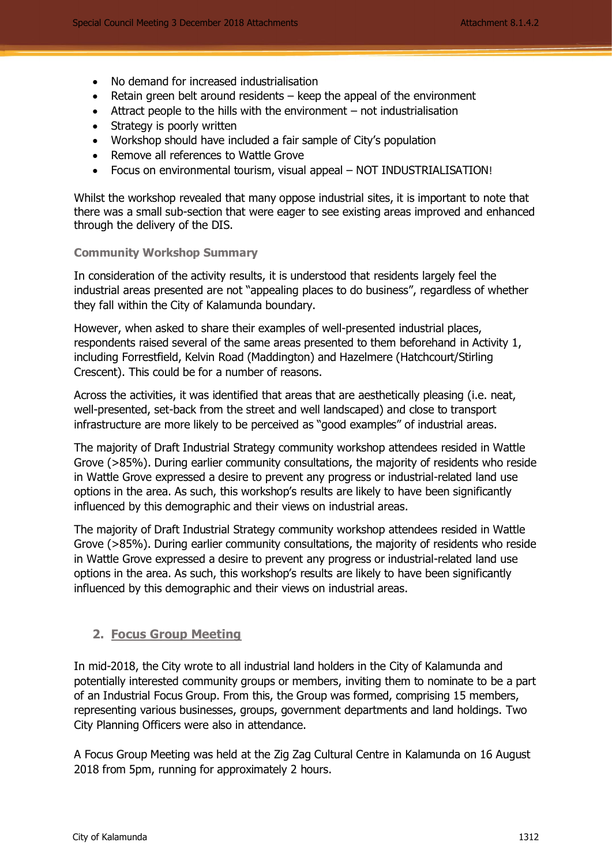- No demand for increased industrialisation
- Retain green belt around residents keep the appeal of the environment
- Attract people to the hills with the environment not industrialisation
- Strategy is poorly written
- Workshop should have included a fair sample of City's population
- Remove all references to Wattle Grove
- Focus on environmental tourism, visual appeal NOT INDUSTRIALISATION!

Whilst the workshop revealed that many oppose industrial sites, it is important to note that there was a small sub-section that were eager to see existing areas improved and enhanced through the delivery of the DIS.

#### **Community Workshop Summary**

In consideration of the activity results, it is understood that residents largely feel the industrial areas presented are not "appealing places to do business", regardless of whether they fall within the City of Kalamunda boundary.

However, when asked to share their examples of well-presented industrial places, respondents raised several of the same areas presented to them beforehand in Activity 1, including Forrestfield, Kelvin Road (Maddington) and Hazelmere (Hatchcourt/Stirling Crescent). This could be for a number of reasons.

Across the activities, it was identified that areas that are aesthetically pleasing (i.e. neat, well-presented, set-back from the street and well landscaped) and close to transport infrastructure are more likely to be perceived as "good examples" of industrial areas.

The majority of Draft Industrial Strategy community workshop attendees resided in Wattle Grove (>85%). During earlier community consultations, the majority of residents who reside in Wattle Grove expressed a desire to prevent any progress or industrial-related land use options in the area. As such, this workshop's results are likely to have been significantly influenced by this demographic and their views on industrial areas.

The majority of Draft Industrial Strategy community workshop attendees resided in Wattle Grove (>85%). During earlier community consultations, the majority of residents who reside in Wattle Grove expressed a desire to prevent any progress or industrial-related land use options in the area. As such, this workshop's results are likely to have been significantly influenced by this demographic and their views on industrial areas.

## **2. Focus Group Meeting**

In mid-2018, the City wrote to all industrial land holders in the City of Kalamunda and potentially interested community groups or members, inviting them to nominate to be a part of an Industrial Focus Group. From this, the Group was formed, comprising 15 members, representing various businesses, groups, government departments and land holdings. Two City Planning Officers were also in attendance.

A Focus Group Meeting was held at the Zig Zag Cultural Centre in Kalamunda on 16 August 2018 from 5pm, running for approximately 2 hours.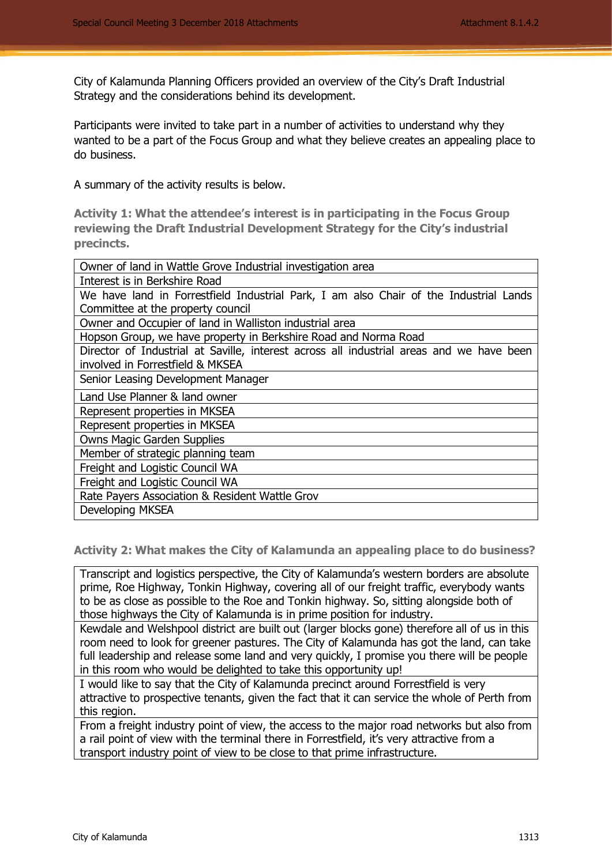City of Kalamunda Planning Officers provided an overview of the City's Draft Industrial Strategy and the considerations behind its development.

Participants were invited to take part in a number of activities to understand why they wanted to be a part of the Focus Group and what they believe creates an appealing place to do business.

A summary of the activity results is below.

**Activity 1: What the attendee's interest is in participating in the Focus Group reviewing the Draft Industrial Development Strategy for the City's industrial precincts.** 

| Owner of land in Wattle Grove Industrial investigation area                              |
|------------------------------------------------------------------------------------------|
| Interest is in Berkshire Road                                                            |
| We have land in Forrestfield Industrial Park, I am also Chair of the Industrial Lands    |
| Committee at the property council                                                        |
| Owner and Occupier of land in Walliston industrial area                                  |
| Hopson Group, we have property in Berkshire Road and Norma Road                          |
| Director of Industrial at Saville, interest across all industrial areas and we have been |
| involved in Forrestfield & MKSEA                                                         |
| Senior Leasing Development Manager                                                       |
| Land Use Planner & land owner                                                            |
| Represent properties in MKSEA                                                            |
| Represent properties in MKSEA                                                            |
| <b>Owns Magic Garden Supplies</b>                                                        |
| Member of strategic planning team                                                        |
| Freight and Logistic Council WA                                                          |
| Freight and Logistic Council WA                                                          |
| Rate Payers Association & Resident Wattle Grov                                           |
| Developing MKSEA                                                                         |

**Activity 2: What makes the City of Kalamunda an appealing place to do business?**

Transcript and logistics perspective, the City of Kalamunda's western borders are absolute prime, Roe Highway, Tonkin Highway, covering all of our freight traffic, everybody wants to be as close as possible to the Roe and Tonkin highway. So, sitting alongside both of those highways the City of Kalamunda is in prime position for industry.

Kewdale and Welshpool district are built out (larger blocks gone) therefore all of us in this room need to look for greener pastures. The City of Kalamunda has got the land, can take full leadership and release some land and very quickly, I promise you there will be people in this room who would be delighted to take this opportunity up!

I would like to say that the City of Kalamunda precinct around Forrestfield is very attractive to prospective tenants, given the fact that it can service the whole of Perth from this region.

From a freight industry point of view, the access to the major road networks but also from a rail point of view with the terminal there in Forrestfield, it's very attractive from a transport industry point of view to be close to that prime infrastructure.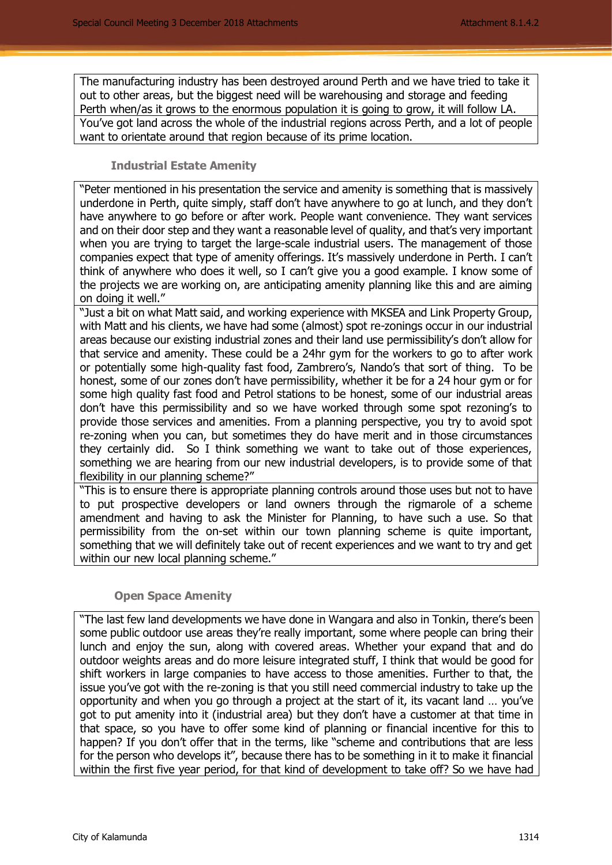The manufacturing industry has been destroyed around Perth and we have tried to take it out to other areas, but the biggest need will be warehousing and storage and feeding Perth when/as it grows to the enormous population it is going to grow, it will follow LA. You've got land across the whole of the industrial regions across Perth, and a lot of people want to orientate around that region because of its prime location.

#### **Industrial Estate Amenity**

"Peter mentioned in his presentation the service and amenity is something that is massively underdone in Perth, quite simply, staff don't have anywhere to go at lunch, and they don't have anywhere to go before or after work. People want convenience. They want services and on their door step and they want a reasonable level of quality, and that's very important when you are trying to target the large-scale industrial users. The management of those companies expect that type of amenity offerings. It's massively underdone in Perth. I can't think of anywhere who does it well, so I can't give you a good example. I know some of the projects we are working on, are anticipating amenity planning like this and are aiming on doing it well."

"Just a bit on what Matt said, and working experience with MKSEA and Link Property Group, with Matt and his clients, we have had some (almost) spot re-zonings occur in our industrial areas because our existing industrial zones and their land use permissibility's don't allow for that service and amenity. These could be a 24hr gym for the workers to go to after work or potentially some high-quality fast food, Zambrero's, Nando's that sort of thing. To be honest, some of our zones don't have permissibility, whether it be for a 24 hour gym or for some high quality fast food and Petrol stations to be honest, some of our industrial areas don't have this permissibility and so we have worked through some spot rezoning's to provide those services and amenities. From a planning perspective, you try to avoid spot re-zoning when you can, but sometimes they do have merit and in those circumstances they certainly did. So I think something we want to take out of those experiences, something we are hearing from our new industrial developers, is to provide some of that flexibility in our planning scheme?"

"This is to ensure there is appropriate planning controls around those uses but not to have to put prospective developers or land owners through the rigmarole of a scheme amendment and having to ask the Minister for Planning, to have such a use. So that permissibility from the on-set within our town planning scheme is quite important, something that we will definitely take out of recent experiences and we want to try and get within our new local planning scheme."

## **Open Space Amenity**

"The last few land developments we have done in Wangara and also in Tonkin, there's been some public outdoor use areas they're really important, some where people can bring their lunch and enjoy the sun, along with covered areas. Whether your expand that and do outdoor weights areas and do more leisure integrated stuff, I think that would be good for shift workers in large companies to have access to those amenities. Further to that, the issue you've got with the re-zoning is that you still need commercial industry to take up the opportunity and when you go through a project at the start of it, its vacant land … you've got to put amenity into it (industrial area) but they don't have a customer at that time in that space, so you have to offer some kind of planning or financial incentive for this to happen? If you don't offer that in the terms, like "scheme and contributions that are less for the person who develops it", because there has to be something in it to make it financial within the first five year period, for that kind of development to take off? So we have had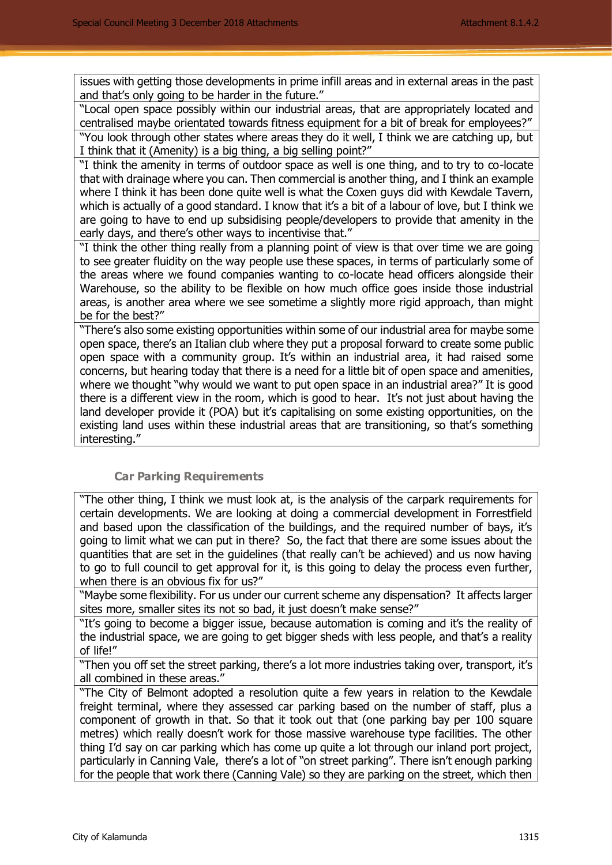issues with getting those developments in prime infill areas and in external areas in the past and that's only going to be harder in the future."

"Local open space possibly within our industrial areas, that are appropriately located and centralised maybe orientated towards fitness equipment for a bit of break for employees?" "You look through other states where areas they do it well, I think we are catching up, but I think that it (Amenity) is a big thing, a big selling point?"

"I think the amenity in terms of outdoor space as well is one thing, and to try to co-locate that with drainage where you can. Then commercial is another thing, and I think an example where I think it has been done quite well is what the Coxen guys did with Kewdale Tavern, which is actually of a good standard. I know that it's a bit of a labour of love, but I think we are going to have to end up subsidising people/developers to provide that amenity in the early days, and there's other ways to incentivise that."

"I think the other thing really from a planning point of view is that over time we are going to see greater fluidity on the way people use these spaces, in terms of particularly some of the areas where we found companies wanting to co-locate head officers alongside their Warehouse, so the ability to be flexible on how much office goes inside those industrial areas, is another area where we see sometime a slightly more rigid approach, than might be for the best?"

"There's also some existing opportunities within some of our industrial area for maybe some open space, there's an Italian club where they put a proposal forward to create some public open space with a community group. It's within an industrial area, it had raised some concerns, but hearing today that there is a need for a little bit of open space and amenities, where we thought "why would we want to put open space in an industrial area?" It is good there is a different view in the room, which is good to hear. It's not just about having the land developer provide it (POA) but it's capitalising on some existing opportunities, on the existing land uses within these industrial areas that are transitioning, so that's something interesting."

## **Car Parking Requirements**

"The other thing, I think we must look at, is the analysis of the carpark requirements for certain developments. We are looking at doing a commercial development in Forrestfield and based upon the classification of the buildings, and the required number of bays, it's going to limit what we can put in there? So, the fact that there are some issues about the quantities that are set in the guidelines (that really can't be achieved) and us now having to go to full council to get approval for it, is this going to delay the process even further, when there is an obvious fix for us?"

"Maybe some flexibility. For us under our current scheme any dispensation? It affects larger sites more, smaller sites its not so bad, it just doesn't make sense?"

"It's going to become a bigger issue, because automation is coming and it's the reality of the industrial space, we are going to get bigger sheds with less people, and that's a reality of life!"

"Then you off set the street parking, there's a lot more industries taking over, transport, it's all combined in these areas."

"The City of Belmont adopted a resolution quite a few years in relation to the Kewdale freight terminal, where they assessed car parking based on the number of staff, plus a component of growth in that. So that it took out that (one parking bay per 100 square metres) which really doesn't work for those massive warehouse type facilities. The other thing I'd say on car parking which has come up quite a lot through our inland port project, particularly in Canning Vale, there's a lot of "on street parking". There isn't enough parking for the people that work there (Canning Vale) so they are parking on the street, which then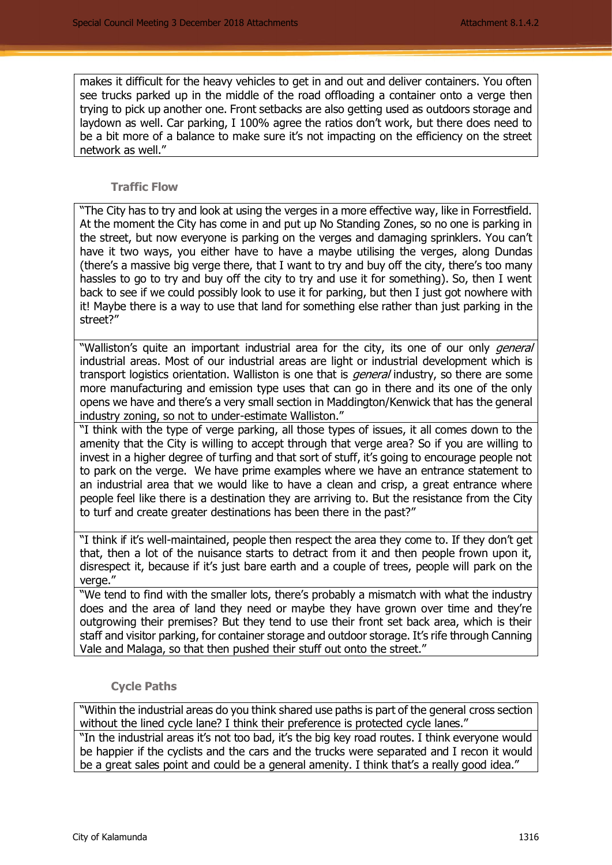makes it difficult for the heavy vehicles to get in and out and deliver containers. You often see trucks parked up in the middle of the road offloading a container onto a verge then trying to pick up another one. Front setbacks are also getting used as outdoors storage and laydown as well. Car parking, I 100% agree the ratios don't work, but there does need to be a bit more of a balance to make sure it's not impacting on the efficiency on the street network as well."

## **Traffic Flow**

"The City has to try and look at using the verges in a more effective way, like in Forrestfield. At the moment the City has come in and put up No Standing Zones, so no one is parking in the street, but now everyone is parking on the verges and damaging sprinklers. You can't have it two ways, you either have to have a maybe utilising the verges, along Dundas (there's a massive big verge there, that I want to try and buy off the city, there's too many hassles to go to try and buy off the city to try and use it for something). So, then I went back to see if we could possibly look to use it for parking, but then I just got nowhere with it! Maybe there is a way to use that land for something else rather than just parking in the street?"

"Walliston's quite an important industrial area for the city, its one of our only *general* industrial areas. Most of our industrial areas are light or industrial development which is transport logistics orientation. Walliston is one that is *general* industry, so there are some more manufacturing and emission type uses that can go in there and its one of the only opens we have and there's a very small section in Maddington/Kenwick that has the general industry zoning, so not to under-estimate Walliston."

"I think with the type of verge parking, all those types of issues, it all comes down to the amenity that the City is willing to accept through that verge area? So if you are willing to invest in a higher degree of turfing and that sort of stuff, it's going to encourage people not to park on the verge. We have prime examples where we have an entrance statement to an industrial area that we would like to have a clean and crisp, a great entrance where people feel like there is a destination they are arriving to. But the resistance from the City to turf and create greater destinations has been there in the past?"

"I think if it's well-maintained, people then respect the area they come to. If they don't get that, then a lot of the nuisance starts to detract from it and then people frown upon it, disrespect it, because if it's just bare earth and a couple of trees, people will park on the verge."

"We tend to find with the smaller lots, there's probably a mismatch with what the industry does and the area of land they need or maybe they have grown over time and they're outgrowing their premises? But they tend to use their front set back area, which is their staff and visitor parking, for container storage and outdoor storage. It's rife through Canning Vale and Malaga, so that then pushed their stuff out onto the street."

## **Cycle Paths**

"Within the industrial areas do you think shared use paths is part of the general cross section without the lined cycle lane? I think their preference is protected cycle lanes."

"In the industrial areas it's not too bad, it's the big key road routes. I think everyone would be happier if the cyclists and the cars and the trucks were separated and I recon it would be a great sales point and could be a general amenity. I think that's a really good idea."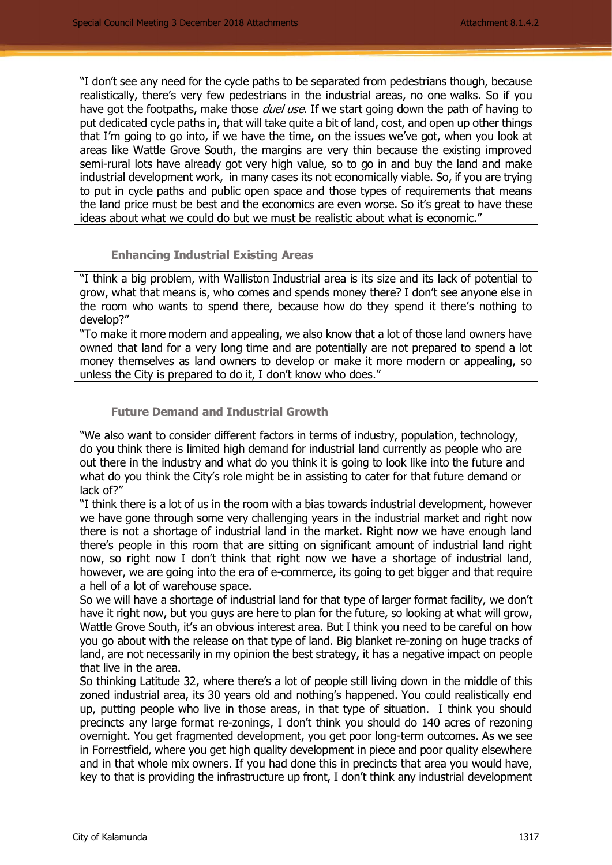"I don't see any need for the cycle paths to be separated from pedestrians though, because realistically, there's very few pedestrians in the industrial areas, no one walks. So if you have got the footpaths, make those *duel use*. If we start going down the path of having to put dedicated cycle paths in, that will take quite a bit of land, cost, and open up other things that I'm going to go into, if we have the time, on the issues we've got, when you look at areas like Wattle Grove South, the margins are very thin because the existing improved semi-rural lots have already got very high value, so to go in and buy the land and make industrial development work, in many cases its not economically viable. So, if you are trying to put in cycle paths and public open space and those types of requirements that means the land price must be best and the economics are even worse. So it's great to have these ideas about what we could do but we must be realistic about what is economic."

#### **Enhancing Industrial Existing Areas**

"I think a big problem, with Walliston Industrial area is its size and its lack of potential to grow, what that means is, who comes and spends money there? I don't see anyone else in the room who wants to spend there, because how do they spend it there's nothing to develop?"

"To make it more modern and appealing, we also know that a lot of those land owners have owned that land for a very long time and are potentially are not prepared to spend a lot money themselves as land owners to develop or make it more modern or appealing, so unless the City is prepared to do it, I don't know who does."

## **Future Demand and Industrial Growth**

"We also want to consider different factors in terms of industry, population, technology, do you think there is limited high demand for industrial land currently as people who are out there in the industry and what do you think it is going to look like into the future and what do you think the City's role might be in assisting to cater for that future demand or lack of?"

"I think there is a lot of us in the room with a bias towards industrial development, however we have gone through some very challenging years in the industrial market and right now there is not a shortage of industrial land in the market. Right now we have enough land there's people in this room that are sitting on significant amount of industrial land right now, so right now I don't think that right now we have a shortage of industrial land, however, we are going into the era of e-commerce, its going to get bigger and that require a hell of a lot of warehouse space.

So we will have a shortage of industrial land for that type of larger format facility, we don't have it right now, but you guys are here to plan for the future, so looking at what will grow, Wattle Grove South, it's an obvious interest area. But I think you need to be careful on how you go about with the release on that type of land. Big blanket re-zoning on huge tracks of land, are not necessarily in my opinion the best strategy, it has a negative impact on people that live in the area.

So thinking Latitude 32, where there's a lot of people still living down in the middle of this zoned industrial area, its 30 years old and nothing's happened. You could realistically end up, putting people who live in those areas, in that type of situation. I think you should precincts any large format re-zonings, I don't think you should do 140 acres of rezoning overnight. You get fragmented development, you get poor long-term outcomes. As we see in Forrestfield, where you get high quality development in piece and poor quality elsewhere and in that whole mix owners. If you had done this in precincts that area you would have, key to that is providing the infrastructure up front, I don't think any industrial development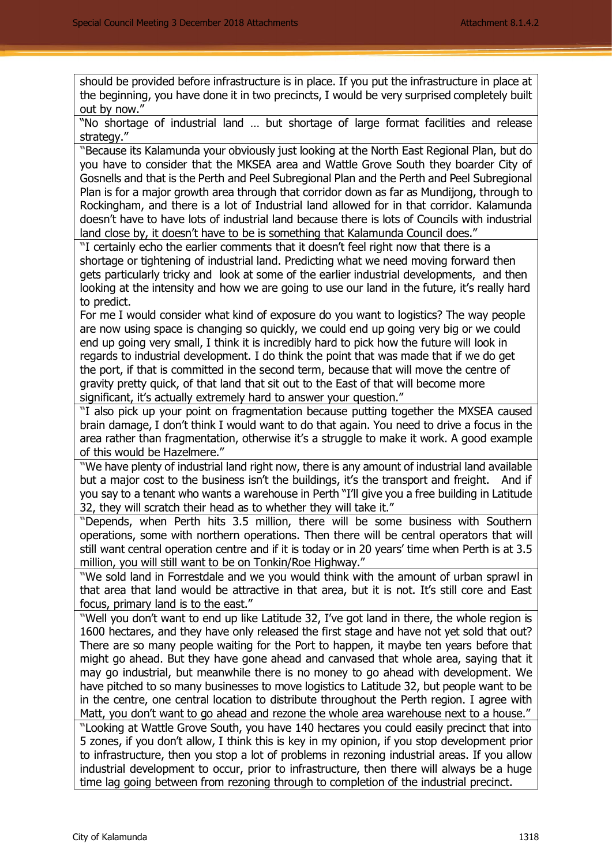should be provided before infrastructure is in place. If you put the infrastructure in place at the beginning, you have done it in two precincts, I would be very surprised completely built out by now."

"No shortage of industrial land … but shortage of large format facilities and release strategy."

**"**Because its Kalamunda your obviously just looking at the North East Regional Plan, but do you have to consider that the MKSEA area and Wattle Grove South they boarder City of Gosnells and that is the Perth and Peel Subregional Plan and the Perth and Peel Subregional Plan is for a major growth area through that corridor down as far as Mundijong, through to Rockingham, and there is a lot of Industrial land allowed for in that corridor. Kalamunda doesn't have to have lots of industrial land because there is lots of Councils with industrial land close by, it doesn't have to be is something that Kalamunda Council does."

**"**I certainly echo the earlier comments that it doesn't feel right now that there is a shortage or tightening of industrial land. Predicting what we need moving forward then gets particularly tricky and look at some of the earlier industrial developments, and then looking at the intensity and how we are going to use our land in the future, it's really hard to predict.

For me I would consider what kind of exposure do you want to logistics? The way people are now using space is changing so quickly, we could end up going very big or we could end up going very small, I think it is incredibly hard to pick how the future will look in regards to industrial development. I do think the point that was made that if we do get the port, if that is committed in the second term, because that will move the centre of gravity pretty quick, of that land that sit out to the East of that will become more significant, it's actually extremely hard to answer your question."

**"**I also pick up your point on fragmentation because putting together the MXSEA caused brain damage, I don't think I would want to do that again. You need to drive a focus in the area rather than fragmentation, otherwise it's a struggle to make it work. A good example of this would be Hazelmere."

**"**We have plenty of industrial land right now, there is any amount of industrial land available but a major cost to the business isn't the buildings, it's the transport and freight. And if you say to a tenant who wants a warehouse in Perth "I'll give you a free building in Latitude 32, they will scratch their head as to whether they will take it."

**"**Depends, when Perth hits 3.5 million, there will be some business with Southern operations, some with northern operations. Then there will be central operators that will still want central operation centre and if it is today or in 20 years' time when Perth is at 3.5 million, you will still want to be on Tonkin/Roe Highway."

**"**We sold land in Forrestdale and we you would think with the amount of urban sprawl in that area that land would be attractive in that area, but it is not. It's still core and East focus, primary land is to the east."

**"**Well you don't want to end up like Latitude 32, I've got land in there, the whole region is 1600 hectares, and they have only released the first stage and have not yet sold that out? There are so many people waiting for the Port to happen, it maybe ten years before that might go ahead. But they have gone ahead and canvased that whole area, saying that it may go industrial, but meanwhile there is no money to go ahead with development. We have pitched to so many businesses to move logistics to Latitude 32, but people want to be in the centre, one central location to distribute throughout the Perth region. I agree with Matt, you don't want to go ahead and rezone the whole area warehouse next to a house." **"**Looking at Wattle Grove South, you have 140 hectares you could easily precinct that into 5 zones, if you don't allow, I think this is key in my opinion, if you stop development prior to infrastructure, then you stop a lot of problems in rezoning industrial areas. If you allow industrial development to occur, prior to infrastructure, then there will always be a huge time lag going between from rezoning through to completion of the industrial precinct.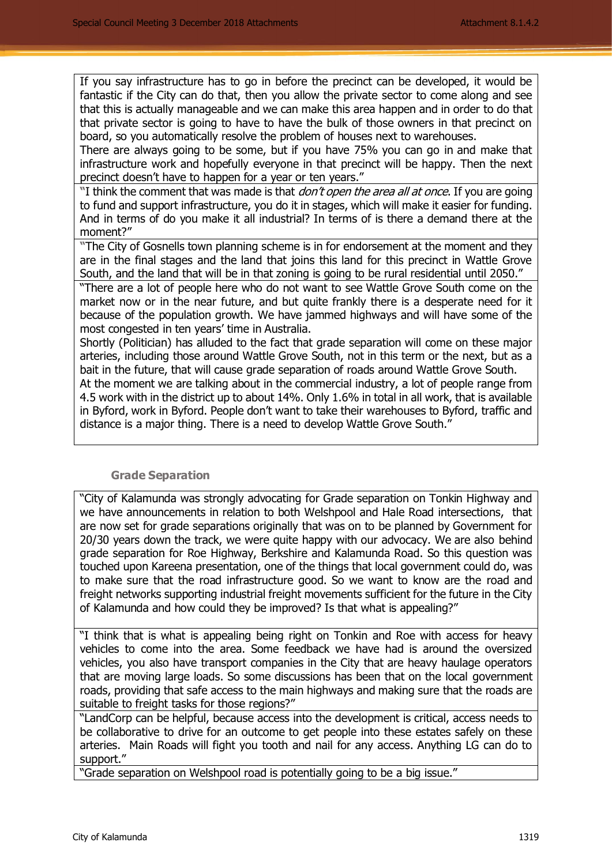If you say infrastructure has to go in before the precinct can be developed, it would be fantastic if the City can do that, then you allow the private sector to come along and see that this is actually manageable and we can make this area happen and in order to do that that private sector is going to have to have the bulk of those owners in that precinct on board, so you automatically resolve the problem of houses next to warehouses.

There are always going to be some, but if you have 75% you can go in and make that infrastructure work and hopefully everyone in that precinct will be happy. Then the next precinct doesn't have to happen for a year or ten years."

**"**I think the comment that was made is that don't open the area all at once. If you are going to fund and support infrastructure, you do it in stages, which will make it easier for funding. And in terms of do you make it all industrial? In terms of is there a demand there at the moment?"

**"**The City of Gosnells town planning scheme is in for endorsement at the moment and they are in the final stages and the land that joins this land for this precinct in Wattle Grove South, and the land that will be in that zoning is going to be rural residential until 2050."

"There are a lot of people here who do not want to see Wattle Grove South come on the market now or in the near future, and but quite frankly there is a desperate need for it because of the population growth. We have jammed highways and will have some of the most congested in ten years' time in Australia.

Shortly (Politician) has alluded to the fact that grade separation will come on these major arteries, including those around Wattle Grove South, not in this term or the next, but as a bait in the future, that will cause grade separation of roads around Wattle Grove South.

At the moment we are talking about in the commercial industry, a lot of people range from 4.5 work with in the district up to about 14%. Only 1.6% in total in all work, that is available in Byford, work in Byford. People don't want to take their warehouses to Byford, traffic and distance is a major thing. There is a need to develop Wattle Grove South."

#### **Grade Separation**

"City of Kalamunda was strongly advocating for Grade separation on Tonkin Highway and we have announcements in relation to both Welshpool and Hale Road intersections, that are now set for grade separations originally that was on to be planned by Government for 20/30 years down the track, we were quite happy with our advocacy. We are also behind grade separation for Roe Highway, Berkshire and Kalamunda Road. So this question was touched upon Kareena presentation, one of the things that local government could do, was to make sure that the road infrastructure good. So we want to know are the road and freight networks supporting industrial freight movements sufficient for the future in the City of Kalamunda and how could they be improved? Is that what is appealing?"

"I think that is what is appealing being right on Tonkin and Roe with access for heavy vehicles to come into the area. Some feedback we have had is around the oversized vehicles, you also have transport companies in the City that are heavy haulage operators that are moving large loads. So some discussions has been that on the local government roads, providing that safe access to the main highways and making sure that the roads are suitable to freight tasks for those regions?"

"LandCorp can be helpful, because access into the development is critical, access needs to be collaborative to drive for an outcome to get people into these estates safely on these arteries. Main Roads will fight you tooth and nail for any access. Anything LG can do to support."

"Grade separation on Welshpool road is potentially going to be a big issue."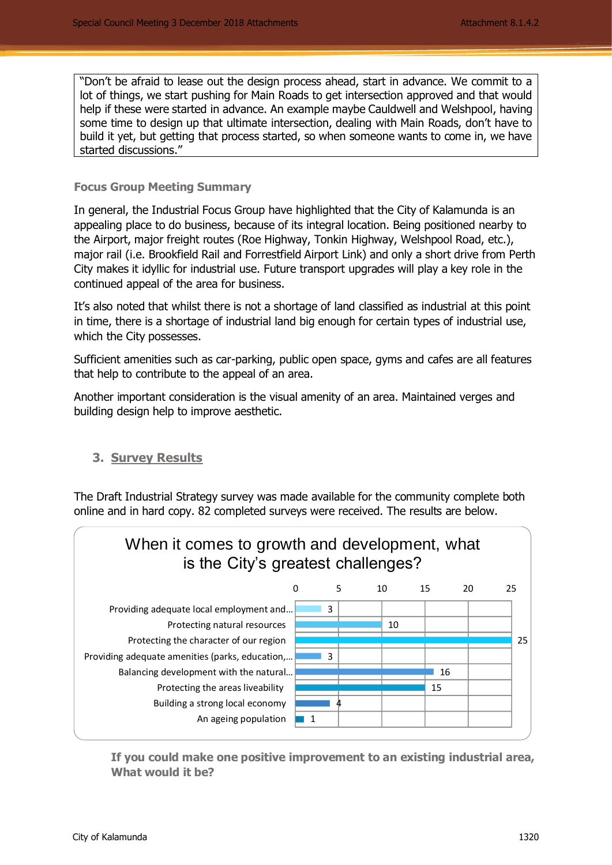"Don't be afraid to lease out the design process ahead, start in advance. We commit to a lot of things, we start pushing for Main Roads to get intersection approved and that would help if these were started in advance. An example maybe Cauldwell and Welshpool, having some time to design up that ultimate intersection, dealing with Main Roads, don't have to build it yet, but getting that process started, so when someone wants to come in, we have started discussions."

## **Focus Group Meeting Summary**

In general, the Industrial Focus Group have highlighted that the City of Kalamunda is an appealing place to do business, because of its integral location. Being positioned nearby to the Airport, major freight routes (Roe Highway, Tonkin Highway, Welshpool Road, etc.), major rail (i.e. Brookfield Rail and Forrestfield Airport Link) and only a short drive from Perth City makes it idyllic for industrial use. Future transport upgrades will play a key role in the continued appeal of the area for business.

It's also noted that whilst there is not a shortage of land classified as industrial at this point in time, there is a shortage of industrial land big enough for certain types of industrial use, which the City possesses.

Sufficient amenities such as car-parking, public open space, gyms and cafes are all features that help to contribute to the appeal of an area.

Another important consideration is the visual amenity of an area. Maintained verges and building design help to improve aesthetic.

## **3. Survey Results**

The Draft Industrial Strategy survey was made available for the community complete both online and in hard copy. 82 completed surveys were received. The results are below.



**If you could make one positive improvement to an existing industrial area, What would it be?**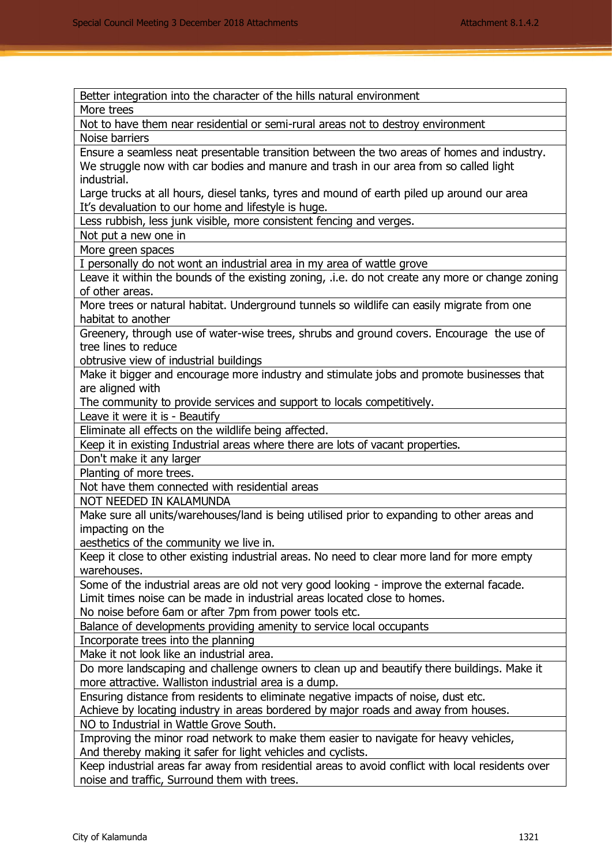| Better integration into the character of the hills natural environment                            |
|---------------------------------------------------------------------------------------------------|
| More trees                                                                                        |
| Not to have them near residential or semi-rural areas not to destroy environment                  |
| Noise barriers                                                                                    |
| Ensure a seamless neat presentable transition between the two areas of homes and industry.        |
| We struggle now with car bodies and manure and trash in our area from so called light             |
| industrial.                                                                                       |
| Large trucks at all hours, diesel tanks, tyres and mound of earth piled up around our area        |
| It's devaluation to our home and lifestyle is huge.                                               |
| Less rubbish, less junk visible, more consistent fencing and verges.                              |
| Not put a new one in                                                                              |
| More green spaces                                                                                 |
| I personally do not wont an industrial area in my area of wattle grove                            |
| Leave it within the bounds of the existing zoning, .i.e. do not create any more or change zoning  |
| of other areas.                                                                                   |
| More trees or natural habitat. Underground tunnels so wildlife can easily migrate from one        |
| habitat to another                                                                                |
| Greenery, through use of water-wise trees, shrubs and ground covers. Encourage the use of         |
| tree lines to reduce                                                                              |
| obtrusive view of industrial buildings                                                            |
| Make it bigger and encourage more industry and stimulate jobs and promote businesses that         |
| are aligned with                                                                                  |
| The community to provide services and support to locals competitively.                            |
| Leave it were it is - Beautify                                                                    |
| Eliminate all effects on the wildlife being affected.                                             |
| Keep it in existing Industrial areas where there are lots of vacant properties.                   |
| Don't make it any larger                                                                          |
| Planting of more trees.                                                                           |
| Not have them connected with residential areas                                                    |
| NOT NEEDED IN KALAMUNDA                                                                           |
| Make sure all units/warehouses/land is being utilised prior to expanding to other areas and       |
| impacting on the                                                                                  |
| aesthetics of the community we live in.                                                           |
| Keep it close to other existing industrial areas. No need to clear more land for more empty       |
| warehouses.                                                                                       |
| Some of the industrial areas are old not very good looking - improve the external facade.         |
| Limit times noise can be made in industrial areas located close to homes.                         |
| No noise before 6am or after 7pm from power tools etc.                                            |
| Balance of developments providing amenity to service local occupants                              |
| Incorporate trees into the planning                                                               |
| Make it not look like an industrial area.                                                         |
| Do more landscaping and challenge owners to clean up and beautify there buildings. Make it        |
| more attractive. Walliston industrial area is a dump.                                             |
| Ensuring distance from residents to eliminate negative impacts of noise, dust etc.                |
| Achieve by locating industry in areas bordered by major roads and away from houses.               |
| NO to Industrial in Wattle Grove South.                                                           |
| Improving the minor road network to make them easier to navigate for heavy vehicles,              |
| And thereby making it safer for light vehicles and cyclists.                                      |
| Keep industrial areas far away from residential areas to avoid conflict with local residents over |
| noise and traffic, Surround them with trees.                                                      |
|                                                                                                   |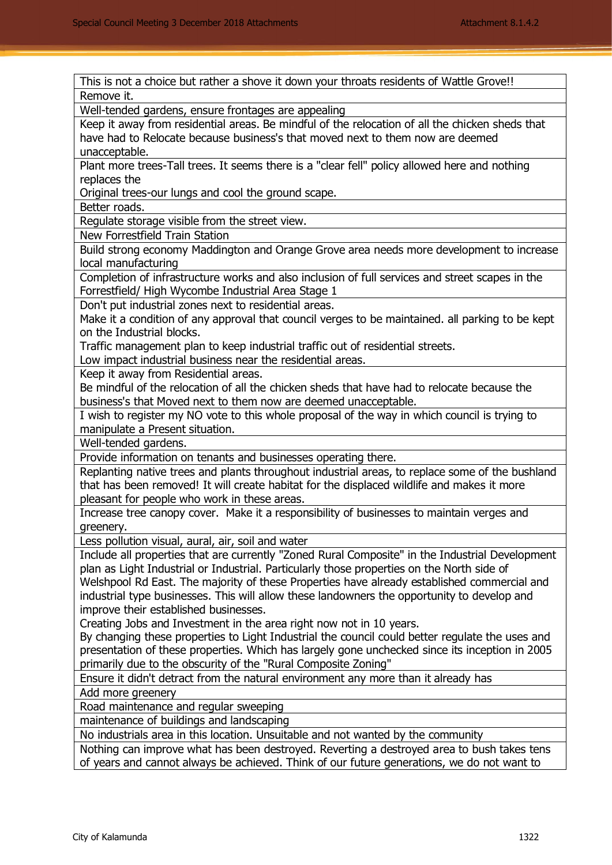This is not a choice but rather a shove it down your throats residents of Wattle Grove!! Remove it. Well-tended gardens, ensure frontages are appealing Keep it away from residential areas. Be mindful of the relocation of all the chicken sheds that have had to Relocate because business's that moved next to them now are deemed unacceptable. Plant more trees-Tall trees. It seems there is a "clear fell" policy allowed here and nothing replaces the Original trees-our lungs and cool the ground scape. Better roads. Regulate storage visible from the street view. New Forrestfield Train Station Build strong economy Maddington and Orange Grove area needs more development to increase local manufacturing Completion of infrastructure works and also inclusion of full services and street scapes in the Forrestfield/ High Wycombe Industrial Area Stage 1 Don't put industrial zones next to residential areas. Make it a condition of any approval that council verges to be maintained. all parking to be kept on the Industrial blocks. Traffic management plan to keep industrial traffic out of residential streets. Low impact industrial business near the residential areas. Keep it away from Residential areas. Be mindful of the relocation of all the chicken sheds that have had to relocate because the business's that Moved next to them now are deemed unacceptable. I wish to register my NO vote to this whole proposal of the way in which council is trying to manipulate a Present situation. Well-tended gardens. Provide information on tenants and businesses operating there. Replanting native trees and plants throughout industrial areas, to replace some of the bushland that has been removed! It will create habitat for the displaced wildlife and makes it more pleasant for people who work in these areas. Increase tree canopy cover. Make it a responsibility of businesses to maintain verges and greenery. Less pollution visual, aural, air, soil and water Include all properties that are currently "Zoned Rural Composite" in the Industrial Development plan as Light Industrial or Industrial. Particularly those properties on the North side of Welshpool Rd East. The majority of these Properties have already established commercial and industrial type businesses. This will allow these landowners the opportunity to develop and improve their established businesses. Creating Jobs and Investment in the area right now not in 10 years. By changing these properties to Light Industrial the council could better regulate the uses and presentation of these properties. Which has largely gone unchecked since its inception in 2005 primarily due to the obscurity of the "Rural Composite Zoning" Ensure it didn't detract from the natural environment any more than it already has Add more greenery Road maintenance and regular sweeping maintenance of buildings and landscaping No industrials area in this location. Unsuitable and not wanted by the community Nothing can improve what has been destroyed. Reverting a destroyed area to bush takes tens of years and cannot always be achieved. Think of our future generations, we do not want to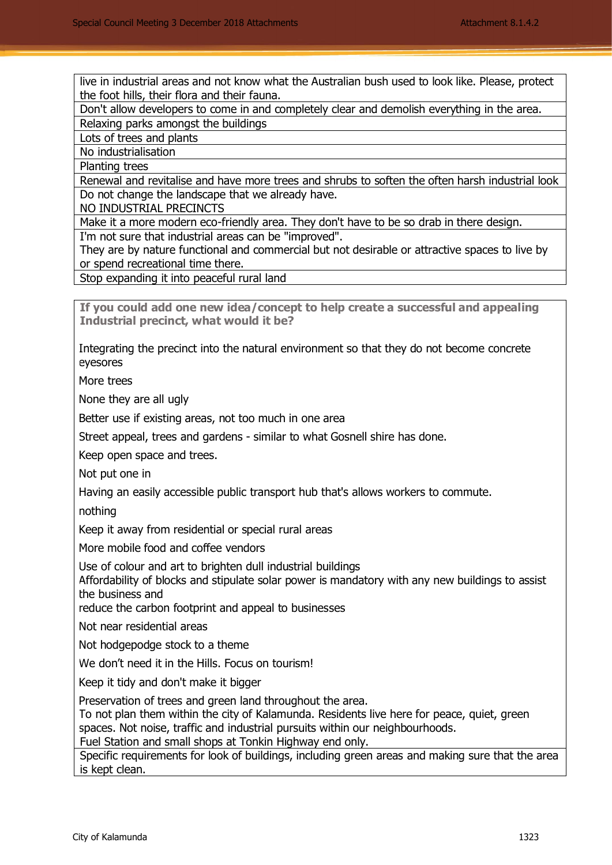live in industrial areas and not know what the Australian bush used to look like. Please, protect the foot hills, their flora and their fauna.

Don't allow developers to come in and completely clear and demolish everything in the area. Relaxing parks amongst the buildings

Lots of trees and plants

No industrialisation

Planting trees

Renewal and revitalise and have more trees and shrubs to soften the often harsh industrial look Do not change the landscape that we already have.

NO INDUSTRIAL PRECINCTS

Make it a more modern eco-friendly area. They don't have to be so drab in there design.

I'm not sure that industrial areas can be "improved".

They are by nature functional and commercial but not desirable or attractive spaces to live by or spend recreational time there.

Stop expanding it into peaceful rural land

**If you could add one new idea/concept to help create a successful and appealing Industrial precinct, what would it be?** 

Integrating the precinct into the natural environment so that they do not become concrete eyesores

More trees

None they are all ugly

Better use if existing areas, not too much in one area

Street appeal, trees and gardens - similar to what Gosnell shire has done.

Keep open space and trees.

Not put one in

Having an easily accessible public transport hub that's allows workers to commute.

nothing

Keep it away from residential or special rural areas

More mobile food and coffee vendors

Use of colour and art to brighten dull industrial buildings

Affordability of blocks and stipulate solar power is mandatory with any new buildings to assist the business and

reduce the carbon footprint and appeal to businesses

Not near residential areas

Not hodgepodge stock to a theme

We don't need it in the Hills. Focus on tourism!

Keep it tidy and don't make it bigger

Preservation of trees and green land throughout the area.

To not plan them within the city of Kalamunda. Residents live here for peace, quiet, green spaces. Not noise, traffic and industrial pursuits within our neighbourhoods.

Fuel Station and small shops at Tonkin Highway end only.

Specific requirements for look of buildings, including green areas and making sure that the area is kept clean.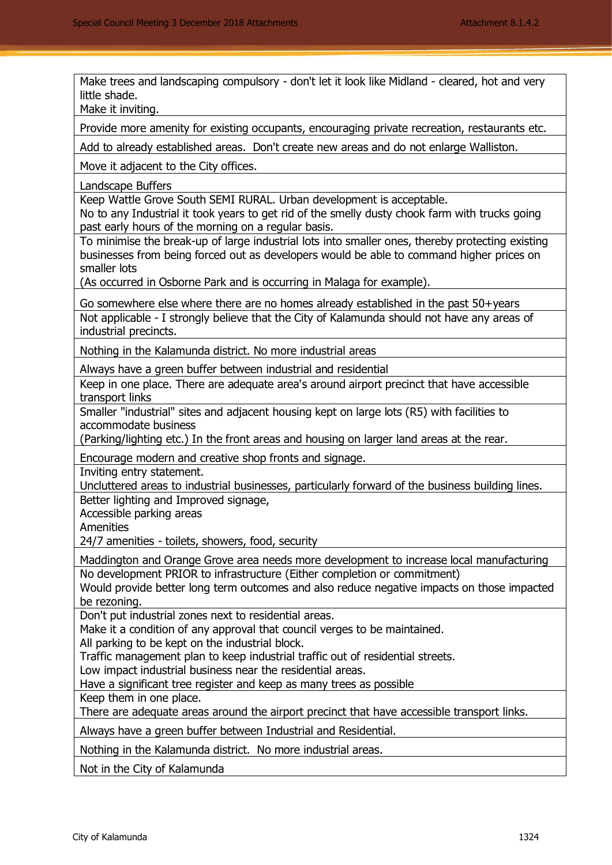Make trees and landscaping compulsory - don't let it look like Midland - cleared, hot and very little shade.

Make it inviting.

Provide more amenity for existing occupants, encouraging private recreation, restaurants etc.

Add to already established areas. Don't create new areas and do not enlarge Walliston.

Move it adjacent to the City offices.

Landscape Buffers

Keep Wattle Grove South SEMI RURAL. Urban development is acceptable.

No to any Industrial it took years to get rid of the smelly dusty chook farm with trucks going past early hours of the morning on a regular basis.

To minimise the break-up of large industrial lots into smaller ones, thereby protecting existing businesses from being forced out as developers would be able to command higher prices on smaller lots

(As occurred in Osborne Park and is occurring in Malaga for example).

Go somewhere else where there are no homes already established in the past 50+years Not applicable - I strongly believe that the City of Kalamunda should not have any areas of industrial precincts.

Nothing in the Kalamunda district. No more industrial areas

Always have a green buffer between industrial and residential

Keep in one place. There are adequate area's around airport precinct that have accessible transport links

Smaller "industrial" sites and adjacent housing kept on large lots (R5) with facilities to accommodate business

(Parking/lighting etc.) In the front areas and housing on larger land areas at the rear.

Encourage modern and creative shop fronts and signage.

Inviting entry statement.

Uncluttered areas to industrial businesses, particularly forward of the business building lines. Better lighting and Improved signage,

Accessible parking areas

Amenities

24/7 amenities - toilets, showers, food, security

Maddington and Orange Grove area needs more development to increase local manufacturing No development PRIOR to infrastructure (Either completion or commitment)

Would provide better long term outcomes and also reduce negative impacts on those impacted be rezoning.

Don't put industrial zones next to residential areas.

Make it a condition of any approval that council verges to be maintained.

All parking to be kept on the industrial block.

Traffic management plan to keep industrial traffic out of residential streets.

Low impact industrial business near the residential areas.

Have a significant tree register and keep as many trees as possible

Keep them in one place.

There are adequate areas around the airport precinct that have accessible transport links.

Always have a green buffer between Industrial and Residential.

Nothing in the Kalamunda district. No more industrial areas.

Not in the City of Kalamunda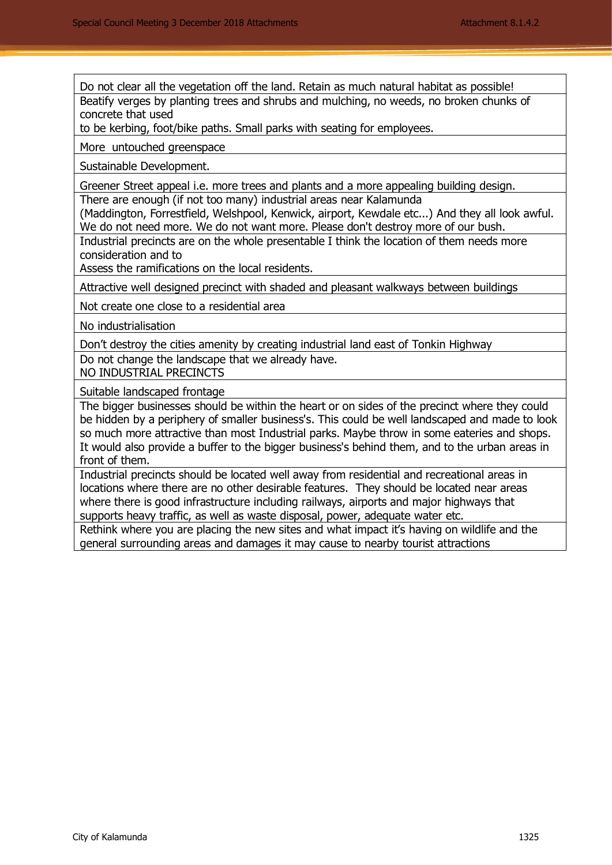Do not clear all the vegetation off the land. Retain as much natural habitat as possible! Beatify verges by planting trees and shrubs and mulching, no weeds, no broken chunks of concrete that used

to be kerbing, foot/bike paths. Small parks with seating for employees.

More untouched greenspace

Sustainable Development.

Greener Street appeal i.e. more trees and plants and a more appealing building design.

There are enough (if not too many) industrial areas near Kalamunda

(Maddington, Forrestfield, Welshpool, Kenwick, airport, Kewdale etc...) And they all look awful. We do not need more. We do not want more. Please don't destroy more of our bush.

Industrial precincts are on the whole presentable I think the location of them needs more consideration and to

Assess the ramifications on the local residents.

Attractive well designed precinct with shaded and pleasant walkways between buildings

Not create one close to a residential area

No industrialisation

Don't destroy the cities amenity by creating industrial land east of Tonkin Highway Do not change the landscape that we already have.

NO INDUSTRIAL PRECINCTS

Suitable landscaped frontage

The bigger businesses should be within the heart or on sides of the precinct where they could be hidden by a periphery of smaller business's. This could be well landscaped and made to look so much more attractive than most Industrial parks. Maybe throw in some eateries and shops. It would also provide a buffer to the bigger business's behind them, and to the urban areas in front of them.

Industrial precincts should be located well away from residential and recreational areas in locations where there are no other desirable features. They should be located near areas where there is good infrastructure including railways, airports and major highways that supports heavy traffic, as well as waste disposal, power, adequate water etc.

Rethink where you are placing the new sites and what impact it's having on wildlife and the general surrounding areas and damages it may cause to nearby tourist attractions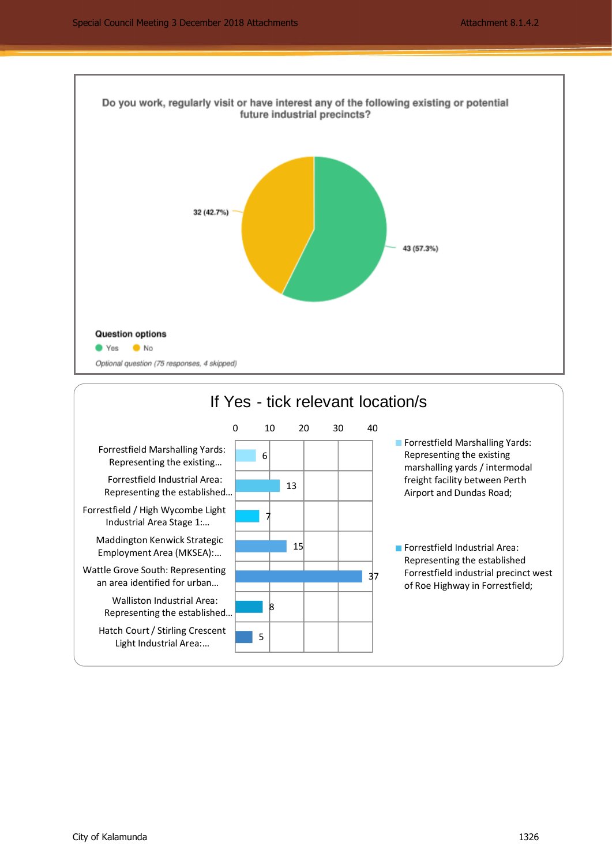

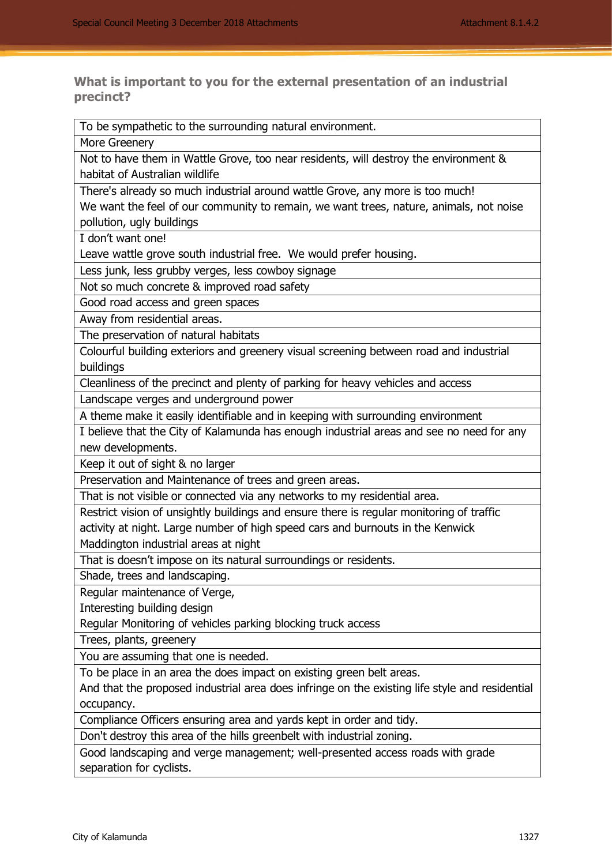**What is important to you for the external presentation of an industrial precinct?** 

To be sympathetic to the surrounding natural environment.

More Greenery

Not to have them in Wattle Grove, too near residents, will destroy the environment & habitat of Australian wildlife

There's already so much industrial around wattle Grove, any more is too much! We want the feel of our community to remain, we want trees, nature, animals, not noise pollution, ugly buildings

I don't want one!

Leave wattle grove south industrial free. We would prefer housing.

Less junk, less grubby verges, less cowboy signage

Not so much concrete & improved road safety

Good road access and green spaces

Away from residential areas.

The preservation of natural habitats

Colourful building exteriors and greenery visual screening between road and industrial buildings

Cleanliness of the precinct and plenty of parking for heavy vehicles and access

Landscape verges and underground power

A theme make it easily identifiable and in keeping with surrounding environment

I believe that the City of Kalamunda has enough industrial areas and see no need for any new developments.

Keep it out of sight & no larger

Preservation and Maintenance of trees and green areas.

That is not visible or connected via any networks to my residential area.

Restrict vision of unsightly buildings and ensure there is regular monitoring of traffic activity at night. Large number of high speed cars and burnouts in the Kenwick Maddington industrial areas at night

That is doesn't impose on its natural surroundings or residents.

Shade, trees and landscaping.

Regular maintenance of Verge,

Interesting building design

Regular Monitoring of vehicles parking blocking truck access

Trees, plants, greenery

You are assuming that one is needed.

To be place in an area the does impact on existing green belt areas.

And that the proposed industrial area does infringe on the existing life style and residential occupancy.

Compliance Officers ensuring area and yards kept in order and tidy.

Don't destroy this area of the hills greenbelt with industrial zoning.

Good landscaping and verge management; well-presented access roads with grade separation for cyclists.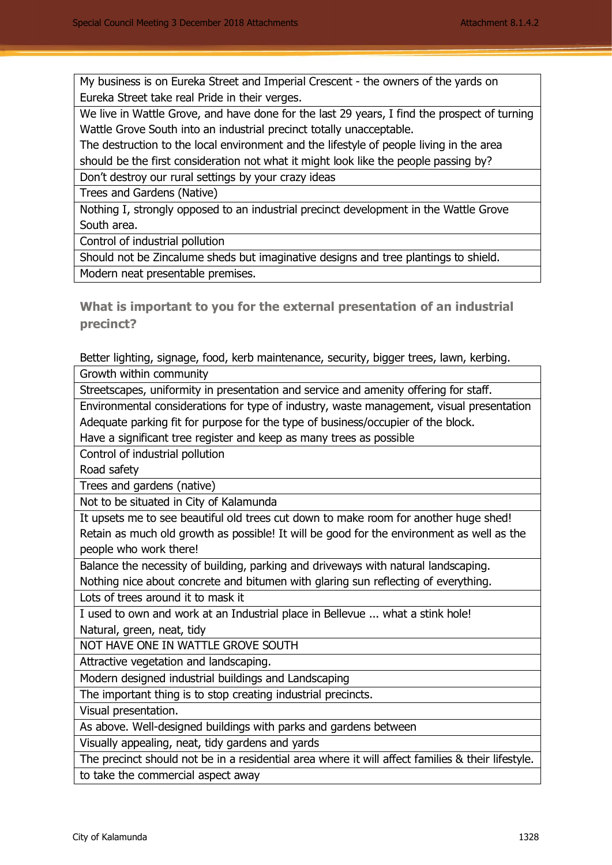My business is on Eureka Street and Imperial Crescent - the owners of the yards on Eureka Street take real Pride in their verges.

We live in Wattle Grove, and have done for the last 29 years, I find the prospect of turning Wattle Grove South into an industrial precinct totally unacceptable.

The destruction to the local environment and the lifestyle of people living in the area should be the first consideration not what it might look like the people passing by?

Don't destroy our rural settings by your crazy ideas

Trees and Gardens (Native)

Nothing I, strongly opposed to an industrial precinct development in the Wattle Grove South area.

Control of industrial pollution

Should not be Zincalume sheds but imaginative designs and tree plantings to shield. Modern neat presentable premises.

**What is important to you for the external presentation of an industrial precinct?** 

Better lighting, signage, food, kerb maintenance, security, bigger trees, lawn, kerbing. Growth within community

Streetscapes, uniformity in presentation and service and amenity offering for staff.

Environmental considerations for type of industry, waste management, visual presentation Adequate parking fit for purpose for the type of business/occupier of the block.

Have a significant tree register and keep as many trees as possible

Control of industrial pollution

Road safety

Trees and gardens (native)

Not to be situated in City of Kalamunda

It upsets me to see beautiful old trees cut down to make room for another huge shed! Retain as much old growth as possible! It will be good for the environment as well as the people who work there!

Balance the necessity of building, parking and driveways with natural landscaping.

Nothing nice about concrete and bitumen with glaring sun reflecting of everything.

Lots of trees around it to mask it

I used to own and work at an Industrial place in Bellevue ... what a stink hole! Natural, green, neat, tidy

NOT HAVE ONE IN WATTLE GROVE SOUTH

Attractive vegetation and landscaping.

Modern designed industrial buildings and Landscaping

The important thing is to stop creating industrial precincts.

Visual presentation.

As above. Well-designed buildings with parks and gardens between

Visually appealing, neat, tidy gardens and yards

The precinct should not be in a residential area where it will affect families & their lifestyle.

to take the commercial aspect away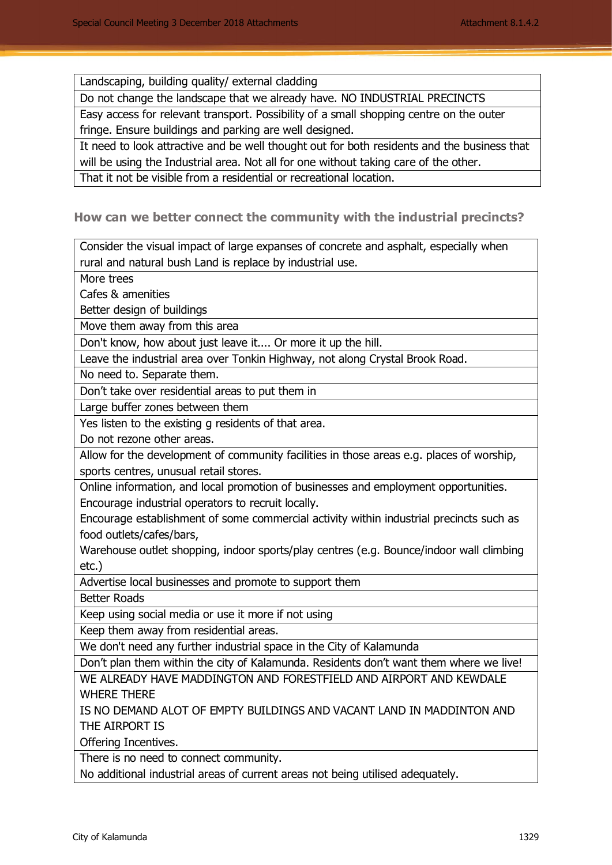Landscaping, building quality/ external cladding

Do not change the landscape that we already have. NO INDUSTRIAL PRECINCTS

Easy access for relevant transport. Possibility of a small shopping centre on the outer fringe. Ensure buildings and parking are well designed.

It need to look attractive and be well thought out for both residents and the business that will be using the Industrial area. Not all for one without taking care of the other.

That it not be visible from a residential or recreational location.

**How can we better connect the community with the industrial precincts?** 

Consider the visual impact of large expanses of concrete and asphalt, especially when rural and natural bush Land is replace by industrial use.

More trees

Cafes & amenities

Better design of buildings

Move them away from this area

Don't know, how about just leave it.... Or more it up the hill.

Leave the industrial area over Tonkin Highway, not along Crystal Brook Road.

No need to. Separate them.

Don't take over residential areas to put them in

Large buffer zones between them

Yes listen to the existing g residents of that area.

Do not rezone other areas.

Allow for the development of community facilities in those areas e.g. places of worship, sports centres, unusual retail stores.

Online information, and local promotion of businesses and employment opportunities. Encourage industrial operators to recruit locally.

Encourage establishment of some commercial activity within industrial precincts such as food outlets/cafes/bars,

Warehouse outlet shopping, indoor sports/play centres (e.g. Bounce/indoor wall climbing etc.)

Advertise local businesses and promote to support them

Better Roads

Keep using social media or use it more if not using

Keep them away from residential areas.

We don't need any further industrial space in the City of Kalamunda

Don't plan them within the city of Kalamunda. Residents don't want them where we live!

WE ALREADY HAVE MADDINGTON AND FORESTFIELD AND AIRPORT AND KEWDALE WHERE THERE

IS NO DEMAND ALOT OF EMPTY BUILDINGS AND VACANT LAND IN MADDINTON AND THE AIRPORT IS

Offering Incentives.

There is no need to connect community.

No additional industrial areas of current areas not being utilised adequately.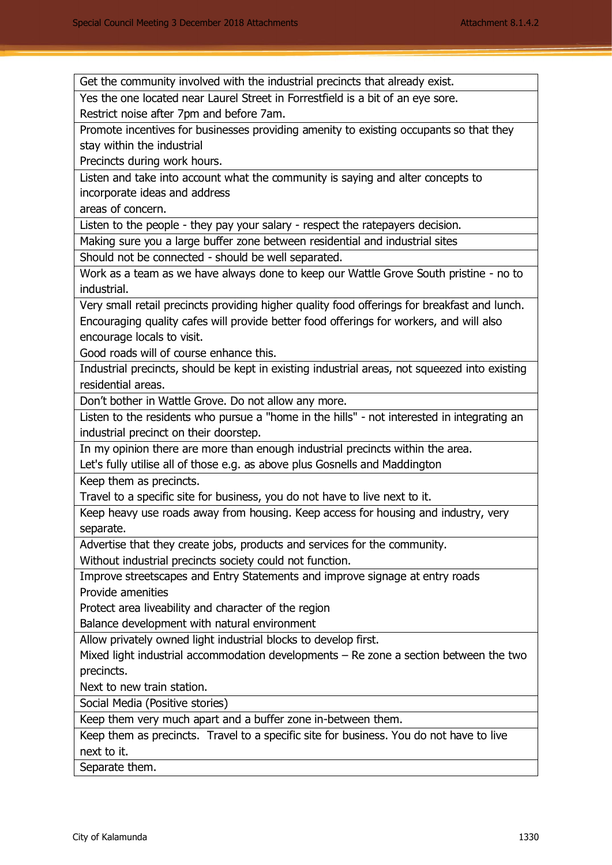Get the community involved with the industrial precincts that already exist.

Yes the one located near Laurel Street in Forrestfield is a bit of an eye sore. Restrict noise after 7pm and before 7am.

Promote incentives for businesses providing amenity to existing occupants so that they stay within the industrial

Precincts during work hours.

Listen and take into account what the community is saying and alter concepts to incorporate ideas and address

areas of concern.

Listen to the people - they pay your salary - respect the ratepayers decision.

Making sure you a large buffer zone between residential and industrial sites

Should not be connected - should be well separated.

Work as a team as we have always done to keep our Wattle Grove South pristine - no to industrial.

Very small retail precincts providing higher quality food offerings for breakfast and lunch. Encouraging quality cafes will provide better food offerings for workers, and will also encourage locals to visit.

Good roads will of course enhance this.

Industrial precincts, should be kept in existing industrial areas, not squeezed into existing residential areas.

Don't bother in Wattle Grove. Do not allow any more.

Listen to the residents who pursue a "home in the hills" - not interested in integrating an industrial precinct on their doorstep.

In my opinion there are more than enough industrial precincts within the area.

Let's fully utilise all of those e.g. as above plus Gosnells and Maddington

Keep them as precincts.

Travel to a specific site for business, you do not have to live next to it.

Keep heavy use roads away from housing. Keep access for housing and industry, very separate.

Advertise that they create jobs, products and services for the community.

Without industrial precincts society could not function.

Improve streetscapes and Entry Statements and improve signage at entry roads Provide amenities

Protect area liveability and character of the region

Balance development with natural environment

Allow privately owned light industrial blocks to develop first.

Mixed light industrial accommodation developments – Re zone a section between the two precincts.

Next to new train station.

Social Media (Positive stories)

Keep them very much apart and a buffer zone in-between them.

Keep them as precincts. Travel to a specific site for business. You do not have to live next to it.

Separate them.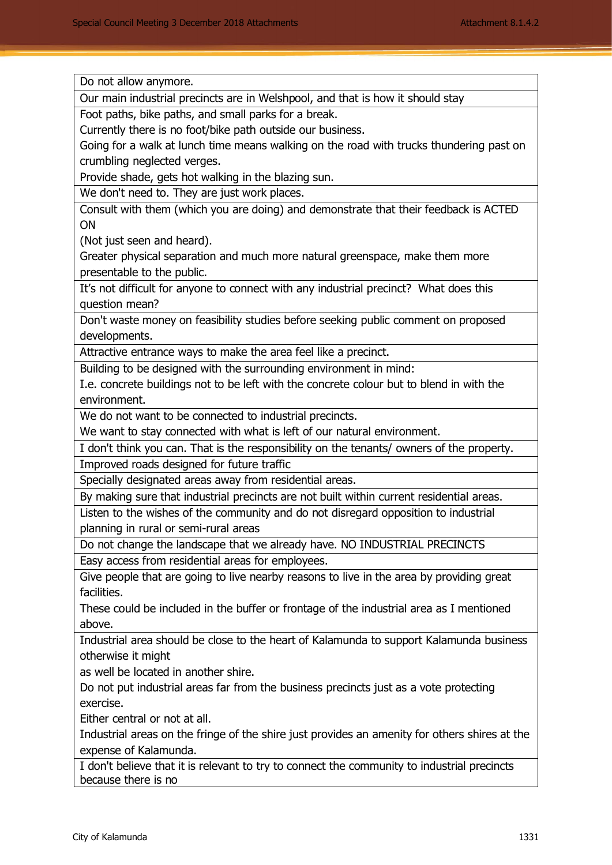Do not allow anymore.

Our main industrial precincts are in Welshpool, and that is how it should stay

Foot paths, bike paths, and small parks for a break.

Currently there is no foot/bike path outside our business.

Going for a walk at lunch time means walking on the road with trucks thundering past on crumbling neglected verges.

Provide shade, gets hot walking in the blazing sun.

We don't need to. They are just work places.

Consult with them (which you are doing) and demonstrate that their feedback is ACTED ON

(Not just seen and heard).

Greater physical separation and much more natural greenspace, make them more presentable to the public.

It's not difficult for anyone to connect with any industrial precinct? What does this question mean?

Don't waste money on feasibility studies before seeking public comment on proposed developments.

Attractive entrance ways to make the area feel like a precinct.

Building to be designed with the surrounding environment in mind:

I.e. concrete buildings not to be left with the concrete colour but to blend in with the environment.

We do not want to be connected to industrial precincts.

We want to stay connected with what is left of our natural environment.

I don't think you can. That is the responsibility on the tenants/ owners of the property. Improved roads designed for future traffic

Specially designated areas away from residential areas.

By making sure that industrial precincts are not built within current residential areas.

Listen to the wishes of the community and do not disregard opposition to industrial planning in rural or semi-rural areas

Do not change the landscape that we already have. NO INDUSTRIAL PRECINCTS

Easy access from residential areas for employees.

Give people that are going to live nearby reasons to live in the area by providing great facilities.

These could be included in the buffer or frontage of the industrial area as I mentioned above.

Industrial area should be close to the heart of Kalamunda to support Kalamunda business otherwise it might

as well be located in another shire.

Do not put industrial areas far from the business precincts just as a vote protecting exercise.

Either central or not at all.

Industrial areas on the fringe of the shire just provides an amenity for others shires at the expense of Kalamunda.

I don't believe that it is relevant to try to connect the community to industrial precincts because there is no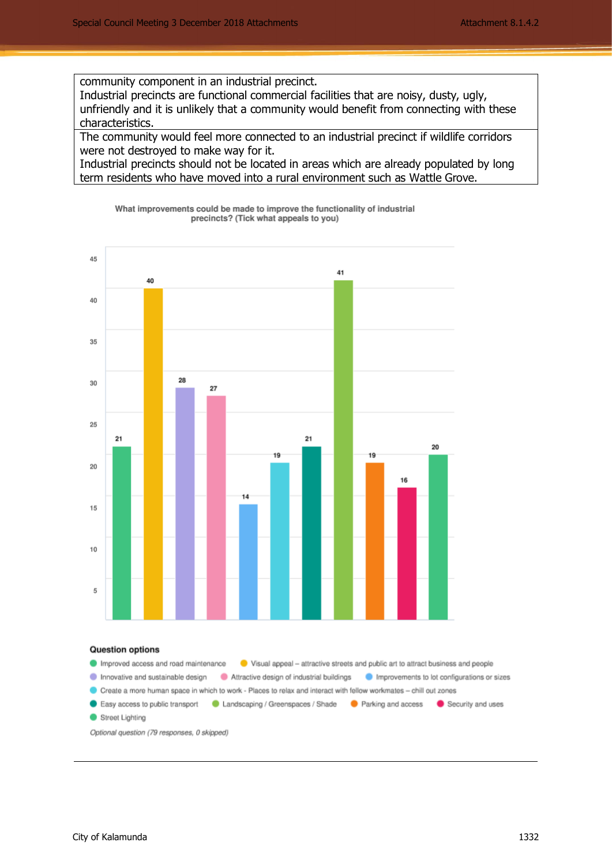community component in an industrial precinct.

Industrial precincts are functional commercial facilities that are noisy, dusty, ugly, unfriendly and it is unlikely that a community would benefit from connecting with these characteristics.

The community would feel more connected to an industrial precinct if wildlife corridors were not destroyed to make way for it.

Industrial precincts should not be located in areas which are already populated by long term residents who have moved into a rural environment such as Wattle Grove.

What improvements could be made to improve the functionality of industrial precincts? (Tick what appeals to you)

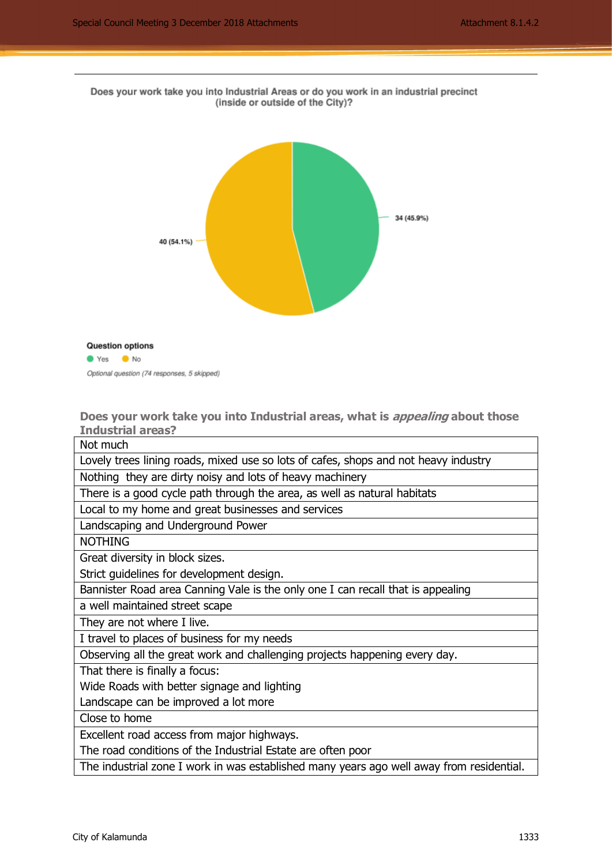



Yes Mo

Optional question (74 responses, 5 skipped)

**Does your work take you into Industrial areas, what is appealing about those Industrial areas?** 

Not much Lovely trees lining roads, mixed use so lots of cafes, shops and not heavy industry Nothing they are dirty noisy and lots of heavy machinery There is a good cycle path through the area, as well as natural habitats Local to my home and great businesses and services Landscaping and Underground Power NOTHING Great diversity in block sizes. Strict guidelines for development design. Bannister Road area Canning Vale is the only one I can recall that is appealing a well maintained street scape They are not where I live. I travel to places of business for my needs Observing all the great work and challenging projects happening every day. That there is finally a focus: Wide Roads with better signage and lighting Landscape can be improved a lot more Close to home Excellent road access from major highways.

The road conditions of the Industrial Estate are often poor

The industrial zone I work in was established many years ago well away from residential.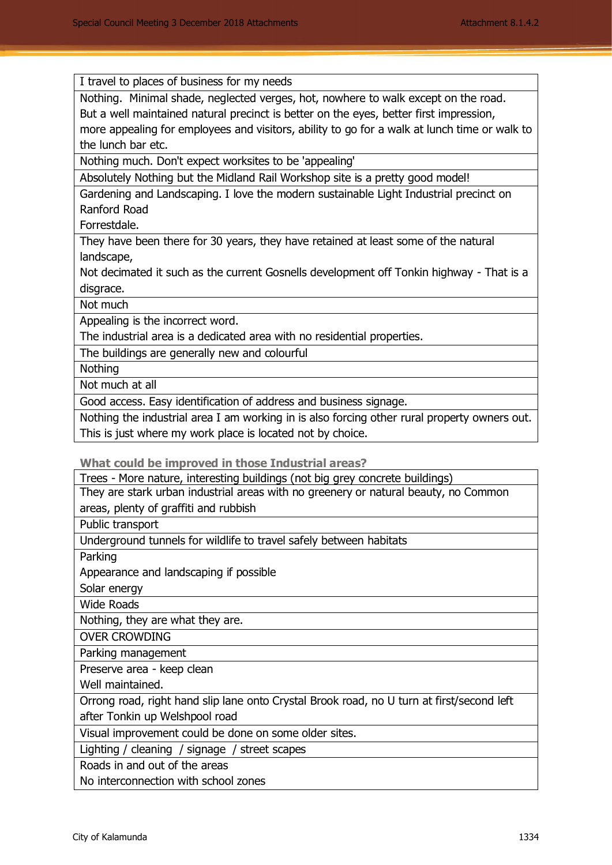I travel to places of business for my needs

Nothing. Minimal shade, neglected verges, hot, nowhere to walk except on the road. But a well maintained natural precinct is better on the eyes, better first impression, more appealing for employees and visitors, ability to go for a walk at lunch time or walk to the lunch bar etc.

Nothing much. Don't expect worksites to be 'appealing'

Absolutely Nothing but the Midland Rail Workshop site is a pretty good model!

Gardening and Landscaping. I love the modern sustainable Light Industrial precinct on Ranford Road

Forrestdale.

They have been there for 30 years, they have retained at least some of the natural landscape,

Not decimated it such as the current Gosnells development off Tonkin highway - That is a disgrace.

Not much

Appealing is the incorrect word.

The industrial area is a dedicated area with no residential properties.

The buildings are generally new and colourful

**Nothing** 

Not much at all

Good access. Easy identification of address and business signage.

Nothing the industrial area I am working in is also forcing other rural property owners out. This is just where my work place is located not by choice.

**What could be improved in those Industrial areas?** 

Trees - More nature, interesting buildings (not big grey concrete buildings) They are stark urban industrial areas with no greenery or natural beauty, no Common areas, plenty of graffiti and rubbish

Public transport

Underground tunnels for wildlife to travel safely between habitats

Parking

Appearance and landscaping if possible

Solar energy

Wide Roads

Nothing, they are what they are.

OVER CROWDING

Parking management

Preserve area - keep clean

Well maintained.

Orrong road, right hand slip lane onto Crystal Brook road, no U turn at first/second left after Tonkin up Welshpool road

Visual improvement could be done on some older sites.

Lighting / cleaning / signage / street scapes

Roads in and out of the areas

No interconnection with school zones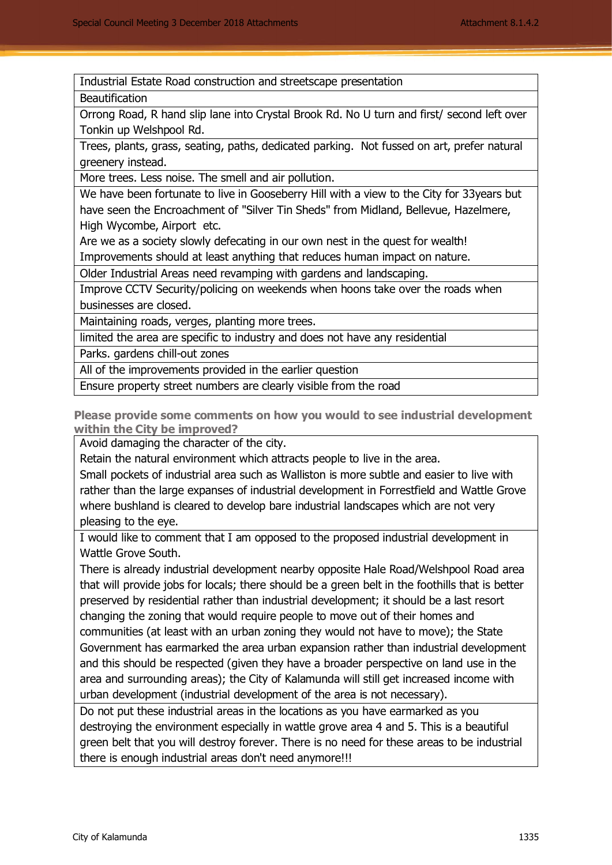Industrial Estate Road construction and streetscape presentation

**Beautification** 

Orrong Road, R hand slip lane into Crystal Brook Rd. No U turn and first/ second left over Tonkin up Welshpool Rd.

Trees, plants, grass, seating, paths, dedicated parking. Not fussed on art, prefer natural greenery instead.

More trees. Less noise. The smell and air pollution.

We have been fortunate to live in Gooseberry Hill with a view to the City for 33years but have seen the Encroachment of "Silver Tin Sheds" from Midland, Bellevue, Hazelmere, High Wycombe, Airport etc.

Are we as a society slowly defecating in our own nest in the quest for wealth!

Improvements should at least anything that reduces human impact on nature.

Older Industrial Areas need revamping with gardens and landscaping.

Improve CCTV Security/policing on weekends when hoons take over the roads when businesses are closed.

Maintaining roads, verges, planting more trees.

limited the area are specific to industry and does not have any residential

Parks. gardens chill-out zones

All of the improvements provided in the earlier question

Ensure property street numbers are clearly visible from the road

**Please provide some comments on how you would to see industrial development within the City be improved?** 

Avoid damaging the character of the city.

Retain the natural environment which attracts people to live in the area.

Small pockets of industrial area such as Walliston is more subtle and easier to live with rather than the large expanses of industrial development in Forrestfield and Wattle Grove where bushland is cleared to develop bare industrial landscapes which are not very pleasing to the eye.

I would like to comment that I am opposed to the proposed industrial development in Wattle Grove South.

There is already industrial development nearby opposite Hale Road/Welshpool Road area that will provide jobs for locals; there should be a green belt in the foothills that is better preserved by residential rather than industrial development; it should be a last resort changing the zoning that would require people to move out of their homes and communities (at least with an urban zoning they would not have to move); the State Government has earmarked the area urban expansion rather than industrial development and this should be respected (given they have a broader perspective on land use in the area and surrounding areas); the City of Kalamunda will still get increased income with urban development (industrial development of the area is not necessary).

Do not put these industrial areas in the locations as you have earmarked as you destroying the environment especially in wattle grove area 4 and 5. This is a beautiful green belt that you will destroy forever. There is no need for these areas to be industrial there is enough industrial areas don't need anymore!!!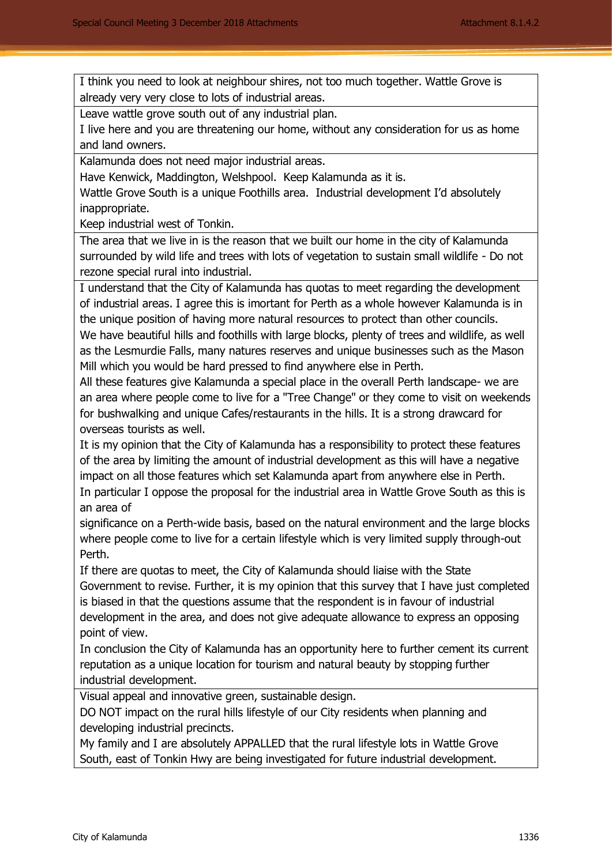I think you need to look at neighbour shires, not too much together. Wattle Grove is already very very close to lots of industrial areas.

Leave wattle grove south out of any industrial plan.

I live here and you are threatening our home, without any consideration for us as home and land owners.

Kalamunda does not need major industrial areas.

Have Kenwick, Maddington, Welshpool. Keep Kalamunda as it is.

Wattle Grove South is a unique Foothills area. Industrial development I'd absolutely inappropriate.

Keep industrial west of Tonkin.

The area that we live in is the reason that we built our home in the city of Kalamunda surrounded by wild life and trees with lots of vegetation to sustain small wildlife - Do not rezone special rural into industrial.

I understand that the City of Kalamunda has quotas to meet regarding the development of industrial areas. I agree this is imortant for Perth as a whole however Kalamunda is in the unique position of having more natural resources to protect than other councils.

We have beautiful hills and foothills with large blocks, plenty of trees and wildlife, as well as the Lesmurdie Falls, many natures reserves and unique businesses such as the Mason Mill which you would be hard pressed to find anywhere else in Perth.

All these features give Kalamunda a special place in the overall Perth landscape- we are an area where people come to live for a "Tree Change" or they come to visit on weekends for bushwalking and unique Cafes/restaurants in the hills. It is a strong drawcard for overseas tourists as well.

It is my opinion that the City of Kalamunda has a responsibility to protect these features of the area by limiting the amount of industrial development as this will have a negative impact on all those features which set Kalamunda apart from anywhere else in Perth. In particular I oppose the proposal for the industrial area in Wattle Grove South as this is an area of

significance on a Perth-wide basis, based on the natural environment and the large blocks where people come to live for a certain lifestyle which is very limited supply through-out Perth.

If there are quotas to meet, the City of Kalamunda should liaise with the State Government to revise. Further, it is my opinion that this survey that I have just completed is biased in that the questions assume that the respondent is in favour of industrial development in the area, and does not give adequate allowance to express an opposing point of view.

In conclusion the City of Kalamunda has an opportunity here to further cement its current reputation as a unique location for tourism and natural beauty by stopping further industrial development.

Visual appeal and innovative green, sustainable design.

DO NOT impact on the rural hills lifestyle of our City residents when planning and developing industrial precincts.

My family and I are absolutely APPALLED that the rural lifestyle lots in Wattle Grove South, east of Tonkin Hwy are being investigated for future industrial development.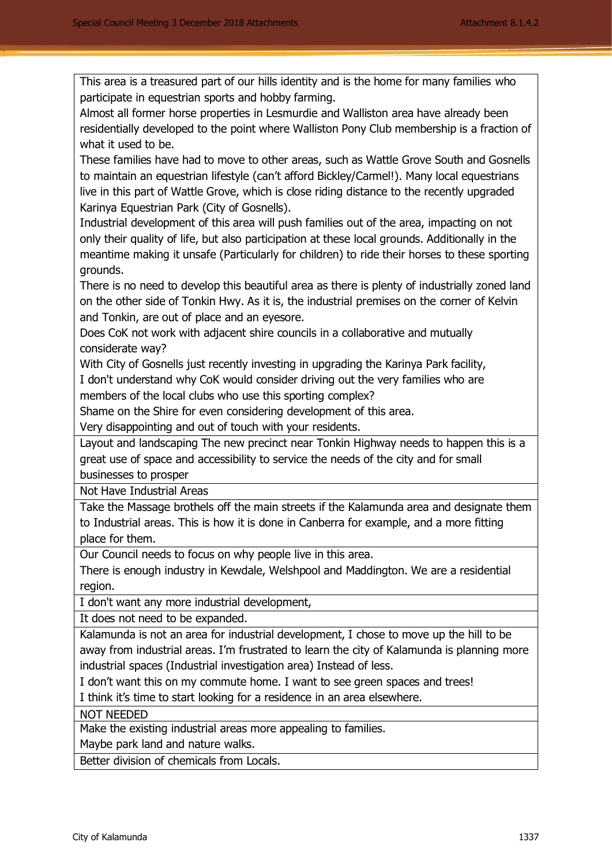This area is a treasured part of our hills identity and is the home for many families who participate in equestrian sports and hobby farming.

Almost all former horse properties in Lesmurdie and Walliston area have already been residentially developed to the point where Walliston Pony Club membership is a fraction of what it used to be.

These families have had to move to other areas, such as Wattle Grove South and Gosnells to maintain an equestrian lifestyle (can't afford Bickley/Carmel!). Many local equestrians live in this part of Wattle Grove, which is close riding distance to the recently upgraded Karinya Equestrian Park (City of Gosnells).

Industrial development of this area will push families out of the area, impacting on not only their quality of life, but also participation at these local grounds. Additionally in the meantime making it unsafe (Particularly for children) to ride their horses to these sporting grounds.

There is no need to develop this beautiful area as there is plenty of industrially zoned land on the other side of Tonkin Hwy. As it is, the industrial premises on the corner of Kelvin and Tonkin, are out of place and an eyesore.

Does CoK not work with adjacent shire councils in a collaborative and mutually considerate way?

With City of Gosnells just recently investing in upgrading the Karinya Park facility,

I don't understand why CoK would consider driving out the very families who are members of the local clubs who use this sporting complex?

Shame on the Shire for even considering development of this area.

Very disappointing and out of touch with your residents.

Layout and landscaping The new precinct near Tonkin Highway needs to happen this is a great use of space and accessibility to service the needs of the city and for small businesses to prosper

Not Have Industrial Areas

Take the Massage brothels off the main streets if the Kalamunda area and designate them to Industrial areas. This is how it is done in Canberra for example, and a more fitting place for them.

Our Council needs to focus on why people live in this area.

There is enough industry in Kewdale, Welshpool and Maddington. We are a residential region.

I don't want any more industrial development,

It does not need to be expanded.

Kalamunda is not an area for industrial development, I chose to move up the hill to be away from industrial areas. I'm frustrated to learn the city of Kalamunda is planning more industrial spaces (Industrial investigation area) Instead of less.

I don't want this on my commute home. I want to see green spaces and trees!

I think it's time to start looking for a residence in an area elsewhere.

NOT NEEDED

Make the existing industrial areas more appealing to families.

Maybe park land and nature walks.

Better division of chemicals from Locals.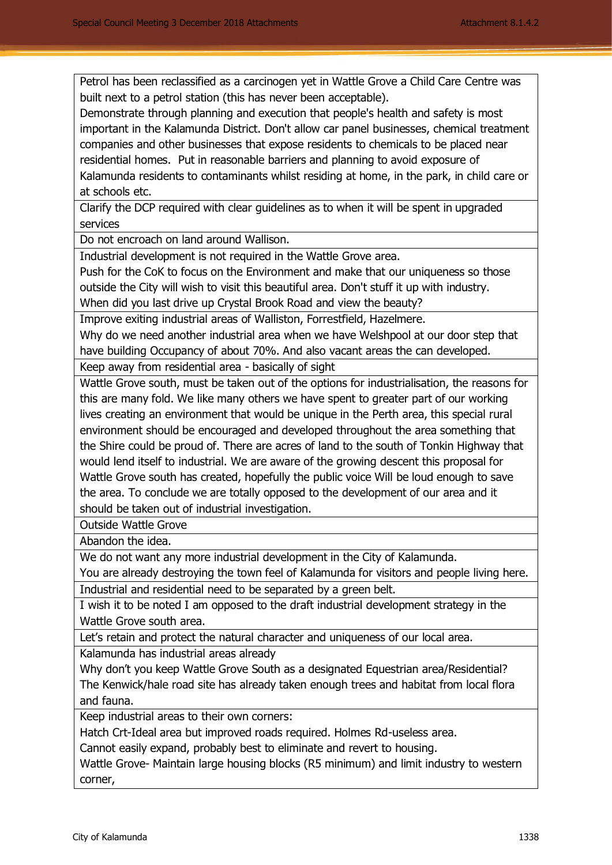Petrol has been reclassified as a carcinogen yet in Wattle Grove a Child Care Centre was built next to a petrol station (this has never been acceptable).

Demonstrate through planning and execution that people's health and safety is most important in the Kalamunda District. Don't allow car panel businesses, chemical treatment companies and other businesses that expose residents to chemicals to be placed near residential homes. Put in reasonable barriers and planning to avoid exposure of Kalamunda residents to contaminants whilst residing at home, in the park, in child care or at schools etc.

Clarify the DCP required with clear guidelines as to when it will be spent in upgraded services

Do not encroach on land around Wallison.

Industrial development is not required in the Wattle Grove area.

Push for the CoK to focus on the Environment and make that our uniqueness so those outside the City will wish to visit this beautiful area. Don't stuff it up with industry. When did you last drive up Crystal Brook Road and view the beauty?

Improve exiting industrial areas of Walliston, Forrestfield, Hazelmere.

Why do we need another industrial area when we have Welshpool at our door step that have building Occupancy of about 70%. And also vacant areas the can developed.

Keep away from residential area - basically of sight

Wattle Grove south, must be taken out of the options for industrialisation, the reasons for this are many fold. We like many others we have spent to greater part of our working lives creating an environment that would be unique in the Perth area, this special rural environment should be encouraged and developed throughout the area something that the Shire could be proud of. There are acres of land to the south of Tonkin Highway that would lend itself to industrial. We are aware of the growing descent this proposal for Wattle Grove south has created, hopefully the public voice Will be loud enough to save the area. To conclude we are totally opposed to the development of our area and it should be taken out of industrial investigation.

Outside Wattle Grove

Abandon the idea.

We do not want any more industrial development in the City of Kalamunda.

You are already destroying the town feel of Kalamunda for visitors and people living here. Industrial and residential need to be separated by a green belt.

I wish it to be noted I am opposed to the draft industrial development strategy in the Wattle Grove south area.

Let's retain and protect the natural character and uniqueness of our local area.

Kalamunda has industrial areas already

Why don't you keep Wattle Grove South as a designated Equestrian area/Residential? The Kenwick/hale road site has already taken enough trees and habitat from local flora and fauna.

Keep industrial areas to their own corners:

Hatch Crt-Ideal area but improved roads required. Holmes Rd-useless area.

Cannot easily expand, probably best to eliminate and revert to housing.

Wattle Grove- Maintain large housing blocks (R5 minimum) and limit industry to western corner,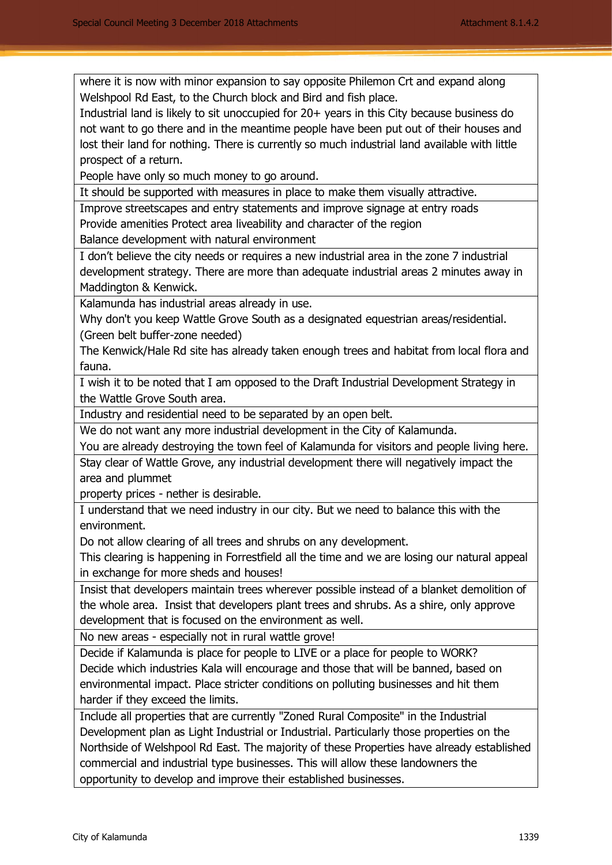where it is now with minor expansion to say opposite Philemon Crt and expand along Welshpool Rd East, to the Church block and Bird and fish place.

Industrial land is likely to sit unoccupied for 20+ years in this City because business do not want to go there and in the meantime people have been put out of their houses and lost their land for nothing. There is currently so much industrial land available with little prospect of a return.

People have only so much money to go around.

It should be supported with measures in place to make them visually attractive.

Improve streetscapes and entry statements and improve signage at entry roads Provide amenities Protect area liveability and character of the region

Balance development with natural environment

I don't believe the city needs or requires a new industrial area in the zone 7 industrial development strategy. There are more than adequate industrial areas 2 minutes away in Maddington & Kenwick.

Kalamunda has industrial areas already in use.

Why don't you keep Wattle Grove South as a designated equestrian areas/residential. (Green belt buffer-zone needed)

The Kenwick/Hale Rd site has already taken enough trees and habitat from local flora and fauna.

I wish it to be noted that I am opposed to the Draft Industrial Development Strategy in the Wattle Grove South area.

Industry and residential need to be separated by an open belt.

We do not want any more industrial development in the City of Kalamunda.

You are already destroying the town feel of Kalamunda for visitors and people living here.

Stay clear of Wattle Grove, any industrial development there will negatively impact the area and plummet

property prices - nether is desirable.

I understand that we need industry in our city. But we need to balance this with the environment.

Do not allow clearing of all trees and shrubs on any development.

This clearing is happening in Forrestfield all the time and we are losing our natural appeal in exchange for more sheds and houses!

Insist that developers maintain trees wherever possible instead of a blanket demolition of the whole area. Insist that developers plant trees and shrubs. As a shire, only approve development that is focused on the environment as well.

No new areas - especially not in rural wattle grove!

Decide if Kalamunda is place for people to LIVE or a place for people to WORK? Decide which industries Kala will encourage and those that will be banned, based on environmental impact. Place stricter conditions on polluting businesses and hit them harder if they exceed the limits.

Include all properties that are currently "Zoned Rural Composite" in the Industrial Development plan as Light Industrial or Industrial. Particularly those properties on the Northside of Welshpool Rd East. The majority of these Properties have already established commercial and industrial type businesses. This will allow these landowners the opportunity to develop and improve their established businesses.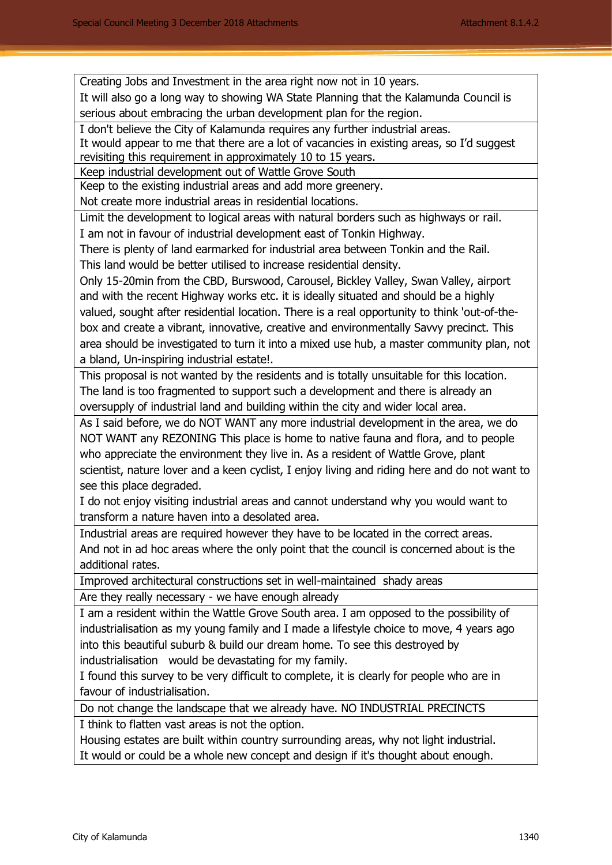Creating Jobs and Investment in the area right now not in 10 years.

It will also go a long way to showing WA State Planning that the Kalamunda Council is serious about embracing the urban development plan for the region.

I don't believe the City of Kalamunda requires any further industrial areas.

It would appear to me that there are a lot of vacancies in existing areas, so I'd suggest revisiting this requirement in approximately 10 to 15 years.

Keep industrial development out of Wattle Grove South

Keep to the existing industrial areas and add more greenery.

Not create more industrial areas in residential locations.

Limit the development to logical areas with natural borders such as highways or rail. I am not in favour of industrial development east of Tonkin Highway.

There is plenty of land earmarked for industrial area between Tonkin and the Rail. This land would be better utilised to increase residential density.

Only 15-20min from the CBD, Burswood, Carousel, Bickley Valley, Swan Valley, airport and with the recent Highway works etc. it is ideally situated and should be a highly valued, sought after residential location. There is a real opportunity to think 'out-of-thebox and create a vibrant, innovative, creative and environmentally Savvy precinct. This area should be investigated to turn it into a mixed use hub, a master community plan, not a bland, Un-inspiring industrial estate!.

This proposal is not wanted by the residents and is totally unsuitable for this location. The land is too fragmented to support such a development and there is already an oversupply of industrial land and building within the city and wider local area.

As I said before, we do NOT WANT any more industrial development in the area, we do NOT WANT any REZONING This place is home to native fauna and flora, and to people who appreciate the environment they live in. As a resident of Wattle Grove, plant scientist, nature lover and a keen cyclist, I enjoy living and riding here and do not want to see this place degraded.

I do not enjoy visiting industrial areas and cannot understand why you would want to transform a nature haven into a desolated area.

Industrial areas are required however they have to be located in the correct areas. And not in ad hoc areas where the only point that the council is concerned about is the additional rates.

Improved architectural constructions set in well-maintained shady areas

Are they really necessary - we have enough already

I am a resident within the Wattle Grove South area. I am opposed to the possibility of industrialisation as my young family and I made a lifestyle choice to move, 4 years ago into this beautiful suburb & build our dream home. To see this destroyed by industrialisation would be devastating for my family.

I found this survey to be very difficult to complete, it is clearly for people who are in favour of industrialisation.

Do not change the landscape that we already have. NO INDUSTRIAL PRECINCTS

I think to flatten vast areas is not the option.

Housing estates are built within country surrounding areas, why not light industrial. It would or could be a whole new concept and design if it's thought about enough.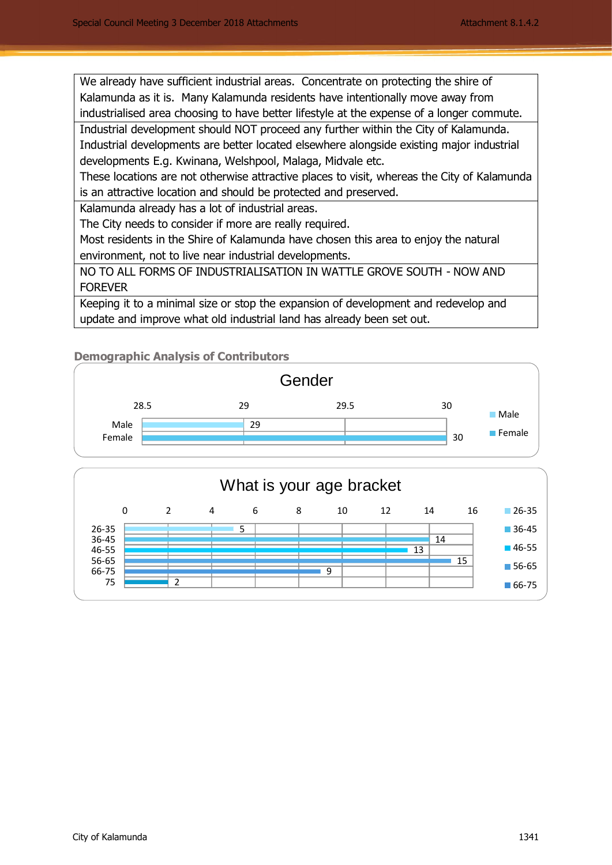We already have sufficient industrial areas. Concentrate on protecting the shire of Kalamunda as it is. Many Kalamunda residents have intentionally move away from industrialised area choosing to have better lifestyle at the expense of a longer commute. Industrial development should NOT proceed any further within the City of Kalamunda.

Industrial developments are better located elsewhere alongside existing major industrial developments E.g. Kwinana, Welshpool, Malaga, Midvale etc.

These locations are not otherwise attractive places to visit, whereas the City of Kalamunda is an attractive location and should be protected and preserved.

Kalamunda already has a lot of industrial areas.

The City needs to consider if more are really required.

Most residents in the Shire of Kalamunda have chosen this area to enjoy the natural environment, not to live near industrial developments.

NO TO ALL FORMS OF INDUSTRIALISATION IN WATTLE GROVE SOUTH - NOW AND FOREVER

Keeping it to a minimal size or stop the expansion of development and redevelop and update and improve what old industrial land has already been set out.

## **Demographic Analysis of Contributors**

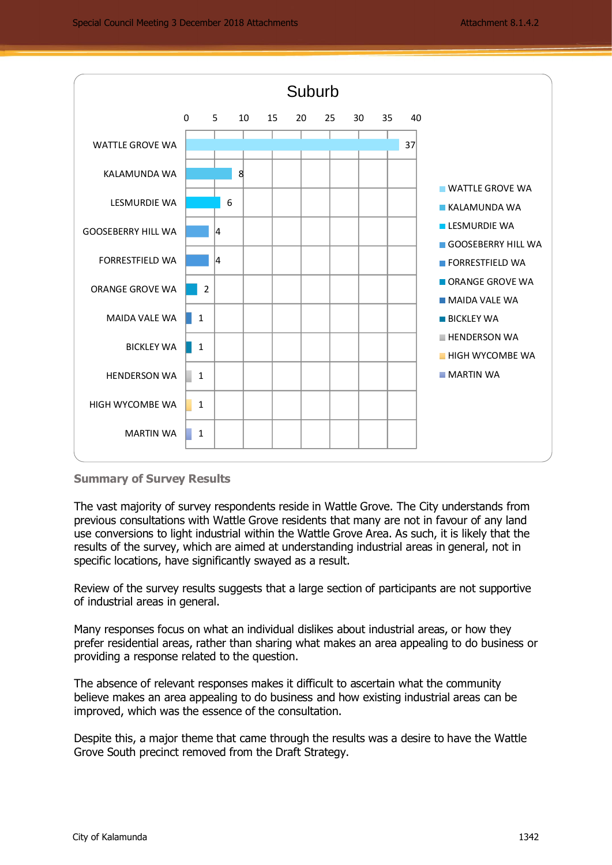

#### **Summary of Survey Results**

The vast majority of survey respondents reside in Wattle Grove. The City understands from previous consultations with Wattle Grove residents that many are not in favour of any land use conversions to light industrial within the Wattle Grove Area. As such, it is likely that the results of the survey, which are aimed at understanding industrial areas in general, not in specific locations, have significantly swayed as a result.

Review of the survey results suggests that a large section of participants are not supportive of industrial areas in general.

Many responses focus on what an individual dislikes about industrial areas, or how they prefer residential areas, rather than sharing what makes an area appealing to do business or providing a response related to the question.

The absence of relevant responses makes it difficult to ascertain what the community believe makes an area appealing to do business and how existing industrial areas can be improved, which was the essence of the consultation.

Despite this, a major theme that came through the results was a desire to have the Wattle Grove South precinct removed from the Draft Strategy.